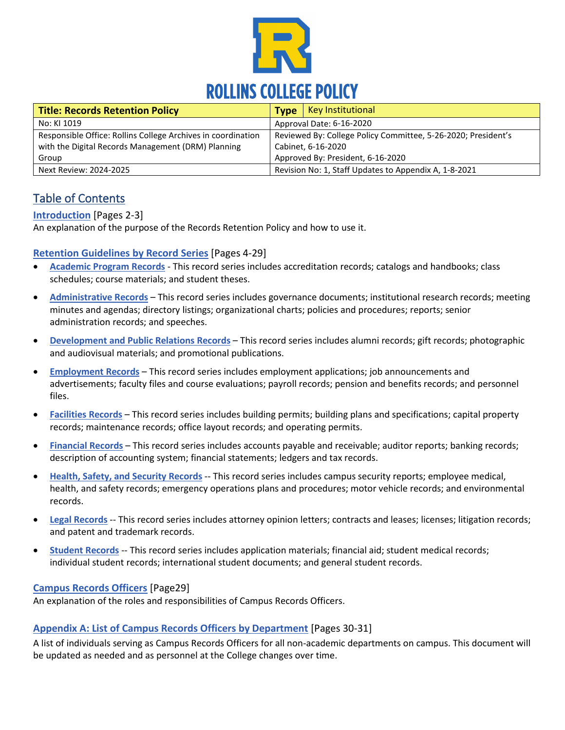

<span id="page-0-0"></span>

| <b>Title: Records Retention Policy</b>                       | Key Institutional<br><b>Type</b>                              |
|--------------------------------------------------------------|---------------------------------------------------------------|
| No: KI 1019                                                  | Approval Date: 6-16-2020                                      |
| Responsible Office: Rollins College Archives in coordination | Reviewed By: College Policy Committee, 5-26-2020; President's |
| with the Digital Records Management (DRM) Planning           | Cabinet, 6-16-2020                                            |
| Group                                                        | Approved By: President, 6-16-2020                             |
| Next Review: 2024-2025                                       | Revision No: 1, Staff Updates to Appendix A, 1-8-2021         |

# Table of Contents

## **[Introduction](#page-1-0)** [Pages 2-3]

An explanation of the purpose of the Records Retention Policy and how to use it.

### **Retention [Guidelines by Record Series](#page-3-0)** [\[](#page-3-0)Pages 4-29]

- **[Academic Program Records](#page-3-0)** This record series includes accreditation records; catalogs and handbooks; class schedules; course materials; and student theses.
- **[Administrative Records](#page-4-0)** This record series includes governance documents; institutional research records; meeting minutes and agendas; directory listings; organizational charts; policies and procedures; reports; senior administration records; and speeches.
- **[Development and Public Relations Records](#page-9-0)** This record series includes alumni records; gift records; photographic and audiovisual materials; and promotional publications.
- **Employment Records** This record series includes employment applications; job announcements and advertisements; faculty files and course evaluations; payroll records; pension and benefits records; and personnel files.
- **[Facilities Records](#page-14-0)** This record series includes building permits; building plans and specifications; capital property records; maintenance records; office layout records; and operating permits.
- **[Financial Records](#page-17-0)** This record series includes accounts payable and receivable; auditor reports; banking records; description of accounting system; financial statements; ledgers and tax records.
- **[Health, Safety, and Security Records](#page-20-0)** -- This record series includes campus security reports; employee medical, health, and safety records; emergency operations plans and procedures; motor vehicle records; and environmental records.
- **Legal Records** -- This record series includes attorney opinion letters; contracts and leases; licenses; litigation records; and patent and trademark records.
- **[Student Records](#page-24-0)** -- This record series includes application materials; financial aid; student medical records; individual student records; international student documents; and general student records.

#### **[Campus Records Officers](#page-28-0)** [Page29]

An explanation of the roles and responsibilities of Campus Records Officers.

#### **[Appendix A: List of Campus Records Officers by Department](#page-29-0)** [Pages 30-31]

A list of individuals serving as Campus Records Officers for all non-academic departments on campus. This document will be updated as needed and as personnel at the College changes over time.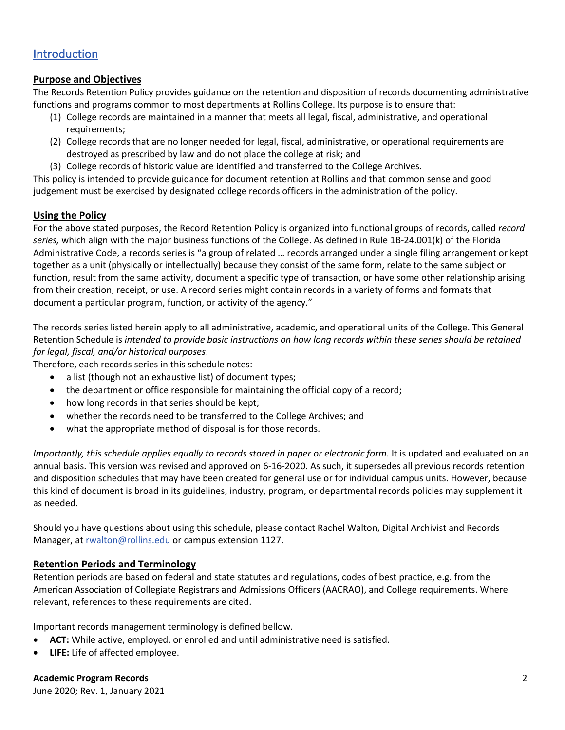## <span id="page-1-0"></span>[Introduction](#page-0-0)

### **Purpose and Objectives**

The Records Retention Policy provides guidance on the retention and disposition of records documenting administrative functions and programs common to most departments at Rollins College. Its purpose is to ensure that:

- (1) College records are maintained in a manner that meets all legal, fiscal, administrative, and operational requirements;
- (2) College records that are no longer needed for legal, fiscal, administrative, or operational requirements are destroyed as prescribed by law and do not place the college at risk; and
- (3) College records of historic value are identified and transferred to the College Archives.

This policy is intended to provide guidance for document retention at Rollins and that common sense and good judgement must be exercised by designated college records officers in the administration of the policy.

### **Using the Policy**

For the above stated purposes, the Record Retention Policy is organized into functional groups of records, called *record series,* which align with the major business functions of the College. As defined in Rule 1B-24.001(k) of the Florida Administrative Code, a records series is "a group of related … records arranged under a single filing arrangement or kept together as a unit (physically or intellectually) because they consist of the same form, relate to the same subject or function, result from the same activity, document a specific type of transaction, or have some other relationship arising from their creation, receipt, or use. A record series might contain records in a variety of forms and formats that document a particular program, function, or activity of the agency."

The records series listed herein apply to all administrative, academic, and operational units of the College. This General Retention Schedule is *intended to provide basic instructions on how long records within these series should be retained for legal, fiscal, and/or historical purposes*.

Therefore, each records series in this schedule notes:

- a list (though not an exhaustive list) of document types;
- the department or office responsible for maintaining the official copy of a record;
- how long records in that series should be kept;
- whether the records need to be transferred to the College Archives; and
- what the appropriate method of disposal is for those records.

*Importantly, this schedule applies equally to records stored in paper or electronic form.* It is updated and evaluated on an annual basis. This version was revised and approved on 6-16-2020. As such, it supersedes all previous records retention and disposition schedules that may have been created for general use or for individual campus units. However, because this kind of document is broad in its guidelines, industry, program, or departmental records policies may supplement it as needed.

Should you have questions about using this schedule, please contact Rachel Walton, Digital Archivist and Records Manager, at [rwalton@rollins.edu](mailto:rwalton@rollins.edu) or campus extension 1127.

#### **Retention Periods and Terminology**

Retention periods are based on federal and state statutes and regulations, codes of best practice, e.g. from the American Association of Collegiate Registrars and Admissions Officers (AACRAO), and College requirements. Where relevant, references to these requirements are cited.

Important records management terminology is defined bellow.

- **ACT:** While active, employed, or enrolled and until administrative need is satisfied.
- **LIFE:** Life of affected employee.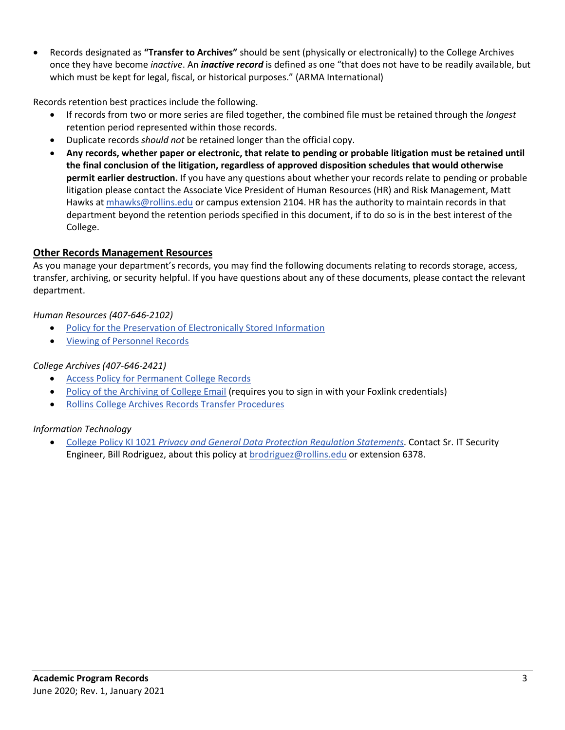• Records designated as **"Transfer to Archives"** should be sent (physically or electronically) to the College Archives once they have become *inactive*. An *inactive record* is defined as one "that does not have to be readily available, but which must be kept for legal, fiscal, or historical purposes." (ARMA International)

Records retention best practices include the following.

- If records from two or more series are filed together, the combined file must be retained through the *longest* retention period represented within those records.
- Duplicate records *should not* be retained longer than the official copy.
- **Any records, whether paper or electronic, that relate to pending or probable litigation must be retained until the final conclusion of the litigation, regardless of approved disposition schedules that would otherwise permit earlier destruction.** If you have any questions about whether your records relate to pending or probable litigation please contact the Associate Vice President of Human Resources (HR) and Risk Management, Matt Hawks at [mhawks@rollins.edu](mailto:mhawks@rollins.edu) or campus extension 2104. HR has the authority to maintain records in that department beyond the retention periods specified in this document, if to do so is in the best interest of the College.

### **Other Records Management Resources**

As you manage your department's records, you may find the following documents relating to records storage, access, transfer, archiving, or security helpful. If you have questions about any of these documents, please contact the relevant department.

#### *Human Resources (407-646-2102)*

- [Policy for the Preservation of Electronically Stored Information](https://www.rollins.edu/human-resources/documents/additional/preservation-electronically-stored-info.pdf)
- [Viewing of Personnel Records](https://www.rollins.edu/human-resources/documents/policies/employment-procedures/HR7790_viewing-personnel-records_05.09.2017.pdf)

### *College Archives (407-646-2421)*

- [Access Policy for Permanent College Records](https://www.rollins.edu/library/docs/archives/AccessPolicy-CollegeRecords.pdf)
- [Policy of the Archiving of College Email](https://rpublic.rollins.edu/sites/IT/itPublic/policies/policies-email-archive.pdf) (requires you to sign in with your Foxlink credentials)
- [Rollins College Archives Records Transfer Procedures](https://www.rollins.edu/library/docs/archives/RecordsTransferProcedures.pdf)

#### *Information Technology*

• College Policy KI 1021 *[Privacy and General Data Protection Regulation Statements](https://rpublic.rollins.edu/sites/IR/Shared%20Documents/KI%201021%20Privacy%20and%20General%20Data%20Security%20Statement%2010-30-2019.pdf)*. Contact Sr. IT Security Engineer, Bill Rodriguez, about this policy a[t brodriguez@rollins.edu](mailto:brodriguez@rollins.edu) or extension 6378.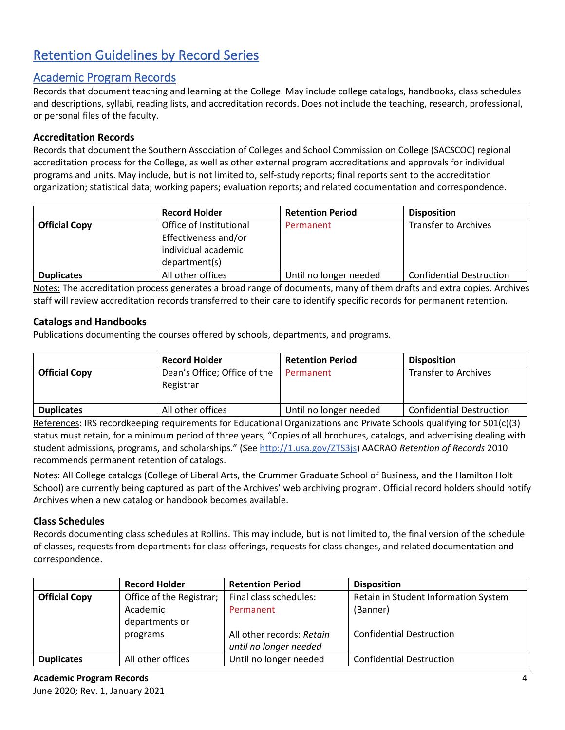# <span id="page-3-0"></span>Retention Guidelines by Record Series

## [Academic Program Records](#page-0-0)

Records that document teaching and learning at the College. May include college catalogs, handbooks, class schedules and descriptions, syllabi, reading lists, and accreditation records. Does not include the teaching, research, professional, or personal files of the faculty.

## **Accreditation Records**

Records that document the Southern Association of Colleges and School Commission on College (SACSCOC) regional accreditation process for the College, as well as other external program accreditations and approvals for individual programs and units. May include, but is not limited to, self-study reports; final reports sent to the accreditation organization; statistical data; working papers; evaluation reports; and related documentation and correspondence.

|                      | <b>Record Holder</b>    | <b>Retention Period</b> | <b>Disposition</b>              |
|----------------------|-------------------------|-------------------------|---------------------------------|
| <b>Official Copy</b> | Office of Institutional | Permanent               | <b>Transfer to Archives</b>     |
|                      | Effectiveness and/or    |                         |                                 |
|                      | individual academic     |                         |                                 |
|                      | department(s)           |                         |                                 |
| <b>Duplicates</b>    | All other offices       | Until no longer needed  | <b>Confidential Destruction</b> |

Notes: The accreditation process generates a broad range of documents, many of them drafts and extra copies. Archives staff will review accreditation records transferred to their care to identify specific records for permanent retention.

### **Catalogs and Handbooks**

Publications documenting the courses offered by schools, departments, and programs.

|                      | <b>Record Holder</b>                      | <b>Retention Period</b> | <b>Disposition</b>              |
|----------------------|-------------------------------------------|-------------------------|---------------------------------|
| <b>Official Copy</b> | Dean's Office; Office of the<br>Registrar | Permanent               | <b>Transfer to Archives</b>     |
| <b>Duplicates</b>    | All other offices                         | Until no longer needed  | <b>Confidential Destruction</b> |

References: IRS recordkeeping requirements for Educational Organizations and Private Schools qualifying for 501(c)(3) status must retain, for a minimum period of three years, "Copies of all brochures, catalogs, and advertising dealing with student admissions, programs, and scholarships." (Se[e http://1.usa.gov/ZTS3js\)](http://1.usa.gov/ZTS3js) AACRAO *Retention of Records* 2010 recommends permanent retention of catalogs.

Notes: All College catalogs (College of Liberal Arts, the Crummer Graduate School of Business, and the Hamilton Holt School) are currently being captured as part of the Archives' web archiving program. Official record holders should notify Archives when a new catalog or handbook becomes available.

#### **Class Schedules**

Records documenting class schedules at Rollins. This may include, but is not limited to, the final version of the schedule of classes, requests from departments for class offerings, requests for class changes, and related documentation and correspondence.

|                      | <b>Record Holder</b>     | <b>Retention Period</b>   | <b>Disposition</b>                   |
|----------------------|--------------------------|---------------------------|--------------------------------------|
| <b>Official Copy</b> | Office of the Registrar; | Final class schedules:    | Retain in Student Information System |
|                      | Academic                 | Permanent                 | (Banner)                             |
|                      | departments or           |                           |                                      |
|                      | programs                 | All other records: Retain | <b>Confidential Destruction</b>      |
|                      |                          | until no longer needed    |                                      |
| <b>Duplicates</b>    | All other offices        | Until no longer needed    | <b>Confidential Destruction</b>      |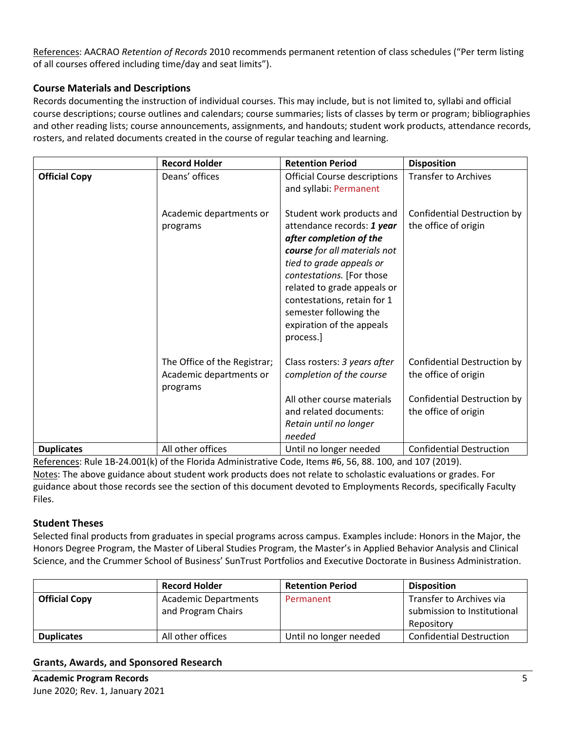References: AACRAO *Retention of Records* 2010 recommends permanent retention of class schedules ("Per term listing of all courses offered including time/day and seat limits").

## **Course Materials and Descriptions**

Records documenting the instruction of individual courses. This may include, but is not limited to, syllabi and official course descriptions; course outlines and calendars; course summaries; lists of classes by term or program; bibliographies and other reading lists; course announcements, assignments, and handouts; student work products, attendance records, rosters, and related documents created in the course of regular teaching and learning.

|                      | <b>Record Holder</b>                                                | <b>Retention Period</b>                                                                                                                                                                                                                                                                                       | <b>Disposition</b>                                                                                                |
|----------------------|---------------------------------------------------------------------|---------------------------------------------------------------------------------------------------------------------------------------------------------------------------------------------------------------------------------------------------------------------------------------------------------------|-------------------------------------------------------------------------------------------------------------------|
| <b>Official Copy</b> | Deans' offices                                                      | <b>Official Course descriptions</b><br>and syllabi: Permanent                                                                                                                                                                                                                                                 | <b>Transfer to Archives</b>                                                                                       |
|                      | Academic departments or<br>programs                                 | Student work products and<br>attendance records: 1 year<br>after completion of the<br>course for all materials not<br>tied to grade appeals or<br>contestations. [For those<br>related to grade appeals or<br>contestations, retain for 1<br>semester following the<br>expiration of the appeals<br>process.] | Confidential Destruction by<br>the office of origin                                                               |
|                      | The Office of the Registrar;<br>Academic departments or<br>programs | Class rosters: 3 years after<br>completion of the course<br>All other course materials<br>and related documents:<br>Retain until no longer                                                                                                                                                                    | Confidential Destruction by<br>the office of origin<br><b>Confidential Destruction by</b><br>the office of origin |
| <b>Duplicates</b>    | All other offices                                                   | needed<br>Until no longer needed                                                                                                                                                                                                                                                                              | <b>Confidential Destruction</b>                                                                                   |

References: Rule 1B-24.001(k) of the Florida Administrative Code, Items #6, 56, 88. 100, and 107 (2019). Notes: The above guidance about student work products does not relate to scholastic evaluations or grades. For guidance about those records see the section of this document devoted to Employments Records, specifically Faculty Files.

#### **Student Theses**

Selected final products from graduates in special programs across campus. Examples include: Honors in the Major, the Honors Degree Program, the Master of Liberal Studies Program, the Master's in Applied Behavior Analysis and Clinical Science, and the Crummer School of Business' SunTrust Portfolios and Executive Doctorate in Business Administration.

|                      | <b>Record Holder</b>        | <b>Retention Period</b> | <b>Disposition</b>              |
|----------------------|-----------------------------|-------------------------|---------------------------------|
| <b>Official Copy</b> | <b>Academic Departments</b> | Permanent               | Transfer to Archives via        |
|                      | and Program Chairs          |                         | submission to Institutional     |
|                      |                             |                         | Repository                      |
| <b>Duplicates</b>    | All other offices           | Until no longer needed  | <b>Confidential Destruction</b> |

#### <span id="page-4-0"></span>**Grants, Awards, and Sponsored Research**

**Academic Program Records** 5 June 2020; Rev. 1, January 2021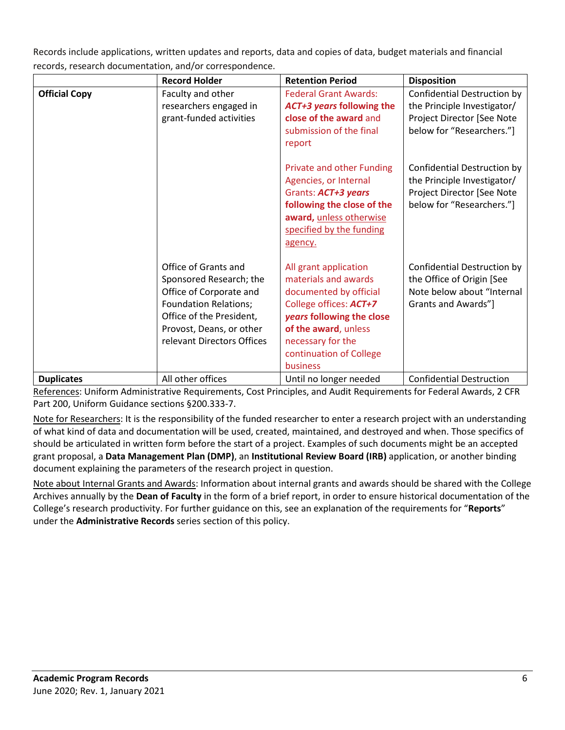Records include applications, written updates and reports, data and copies of data, budget materials and financial records, research documentation, and/or correspondence.

|                      | <b>Record Holder</b>                                                                                                                                                                             | <b>Retention Period</b>                                                                                                                                                                                            | <b>Disposition</b>                                                                                                    |
|----------------------|--------------------------------------------------------------------------------------------------------------------------------------------------------------------------------------------------|--------------------------------------------------------------------------------------------------------------------------------------------------------------------------------------------------------------------|-----------------------------------------------------------------------------------------------------------------------|
| <b>Official Copy</b> | Faculty and other<br>researchers engaged in<br>grant-funded activities                                                                                                                           | <b>Federal Grant Awards:</b><br>ACT+3 years following the<br>close of the award and<br>submission of the final<br>report                                                                                           | Confidential Destruction by<br>the Principle Investigator/<br>Project Director [See Note<br>below for "Researchers."] |
|                      |                                                                                                                                                                                                  | Private and other Funding<br>Agencies, or Internal<br>Grants: ACT+3 years<br>following the close of the<br>award, unless otherwise<br>specified by the funding<br>agency.                                          | Confidential Destruction by<br>the Principle Investigator/<br>Project Director [See Note<br>below for "Researchers."] |
|                      | Office of Grants and<br>Sponsored Research; the<br>Office of Corporate and<br><b>Foundation Relations;</b><br>Office of the President,<br>Provost, Deans, or other<br>relevant Directors Offices | All grant application<br>materials and awards<br>documented by official<br>College offices: ACT+7<br>years following the close<br>of the award, unless<br>necessary for the<br>continuation of College<br>business | Confidential Destruction by<br>the Office of Origin [See<br>Note below about "Internal<br>Grants and Awards"]         |
| <b>Duplicates</b>    | All other offices                                                                                                                                                                                | Until no longer needed                                                                                                                                                                                             | <b>Confidential Destruction</b>                                                                                       |

References: Uniform Administrative Requirements, Cost Principles, and Audit Requirements for Federal Awards, 2 CFR Part 200, Uniform Guidance sections §200.333-7.

Note for Researchers: It is the responsibility of the funded researcher to enter a research project with an understanding of what kind of data and documentation will be used, created, maintained, and destroyed and when. Those specifics of should be articulated in written form before the start of a project. Examples of such documents might be an accepted grant proposal, a **Data Management Plan (DMP)**, an **Institutional Review Board (IRB)** application, or another binding document explaining the parameters of the research project in question.

Note about Internal Grants and Awards: Information about internal grants and awards should be shared with the College Archives annually by the **Dean of Faculty** in the form of a brief report, in order to ensure historical documentation of the College's research productivity. For further guidance on this, see an explanation of the requirements for "**Reports**" under the **Administrative Records** series section of this policy.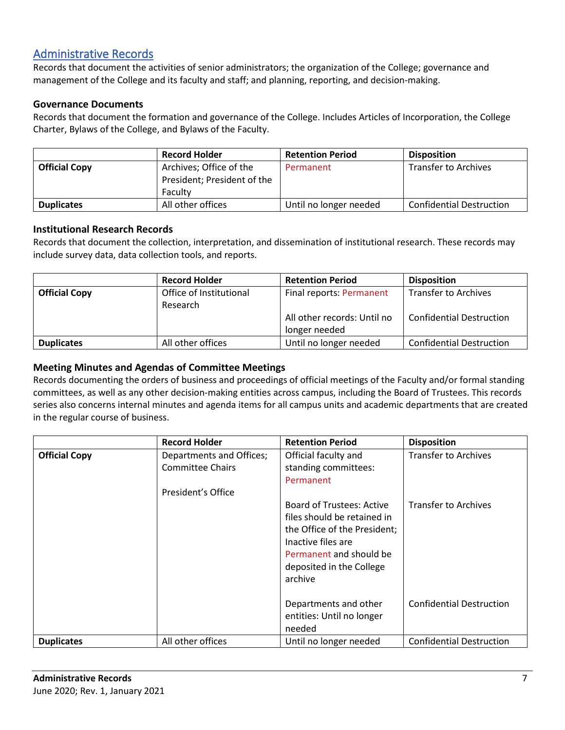# [Administrative Records](#page-0-0)

Records that document the activities of senior administrators; the organization of the College; governance and management of the College and its faculty and staff; and planning, reporting, and decision-making.

## **Governance Documents**

Records that document the formation and governance of the College. Includes Articles of Incorporation, the College Charter, Bylaws of the College, and Bylaws of the Faculty.

|                      | <b>Record Holder</b>        | <b>Retention Period</b> | <b>Disposition</b>              |
|----------------------|-----------------------------|-------------------------|---------------------------------|
| <b>Official Copy</b> | Archives; Office of the     | Permanent               | <b>Transfer to Archives</b>     |
|                      | President; President of the |                         |                                 |
|                      | Faculty                     |                         |                                 |
| <b>Duplicates</b>    | All other offices           | Until no longer needed  | <b>Confidential Destruction</b> |

#### **Institutional Research Records**

Records that document the collection, interpretation, and dissemination of institutional research. These records may include survey data, data collection tools, and reports.

|                      | <b>Record Holder</b>    | <b>Retention Period</b>     | <b>Disposition</b>              |
|----------------------|-------------------------|-----------------------------|---------------------------------|
| <b>Official Copy</b> | Office of Institutional | Final reports: Permanent    | <b>Transfer to Archives</b>     |
|                      | Research                |                             |                                 |
|                      |                         | All other records: Until no | <b>Confidential Destruction</b> |
|                      |                         | longer needed               |                                 |
| <b>Duplicates</b>    | All other offices       | Until no longer needed      | <b>Confidential Destruction</b> |

### **Meeting Minutes and Agendas of Committee Meetings**

Records documenting the orders of business and proceedings of official meetings of the Faculty and/or formal standing committees, as well as any other decision-making entities across campus, including the Board of Trustees. This records series also concerns internal minutes and agenda items for all campus units and academic departments that are created in the regular course of business.

|                      | <b>Record Holder</b>                                                      | <b>Retention Period</b>                                                                                                                                                                 | <b>Disposition</b>              |
|----------------------|---------------------------------------------------------------------------|-----------------------------------------------------------------------------------------------------------------------------------------------------------------------------------------|---------------------------------|
| <b>Official Copy</b> | Departments and Offices;<br><b>Committee Chairs</b><br>President's Office | Official faculty and<br>standing committees:<br>Permanent                                                                                                                               | <b>Transfer to Archives</b>     |
|                      |                                                                           | <b>Board of Trustees: Active</b><br>files should be retained in<br>the Office of the President;<br>Inactive files are<br>Permanent and should be<br>deposited in the College<br>archive | <b>Transfer to Archives</b>     |
|                      |                                                                           | Departments and other<br>entities: Until no longer<br>needed                                                                                                                            | <b>Confidential Destruction</b> |
| <b>Duplicates</b>    | All other offices                                                         | Until no longer needed                                                                                                                                                                  | <b>Confidential Destruction</b> |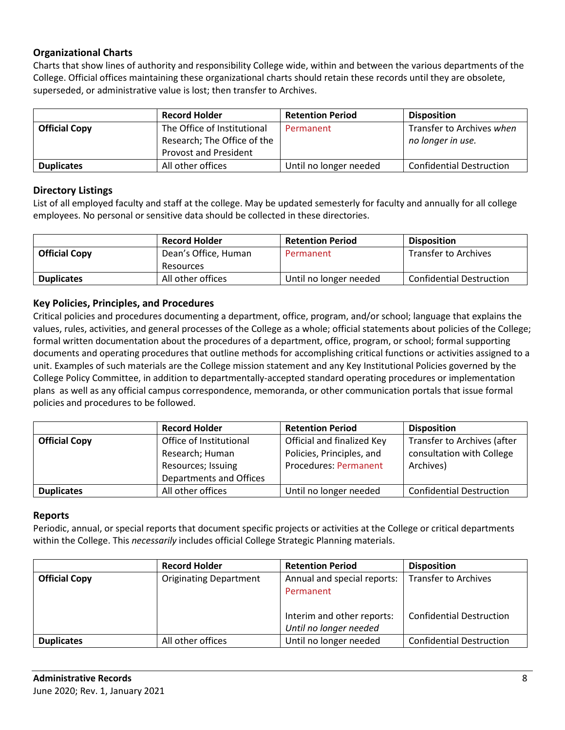## **Organizational Charts**

Charts that show lines of authority and responsibility College wide, within and between the various departments of the College. Official offices maintaining these organizational charts should retain these records until they are obsolete, superseded, or administrative value is lost; then transfer to Archives.

|                      | <b>Record Holder</b>         | <b>Retention Period</b> | <b>Disposition</b>              |
|----------------------|------------------------------|-------------------------|---------------------------------|
| <b>Official Copy</b> | The Office of Institutional  | Permanent               | Transfer to Archives when       |
|                      | Research; The Office of the  |                         | no longer in use.               |
|                      | <b>Provost and President</b> |                         |                                 |
| <b>Duplicates</b>    | All other offices            | Until no longer needed  | <b>Confidential Destruction</b> |

### **Directory Listings**

List of all employed faculty and staff at the college. May be updated semesterly for faculty and annually for all college employees. No personal or sensitive data should be collected in these directories.

|                      | <b>Record Holder</b> | <b>Retention Period</b> | <b>Disposition</b>              |
|----------------------|----------------------|-------------------------|---------------------------------|
| <b>Official Copy</b> | Dean's Office, Human | Permanent               | <b>Transfer to Archives</b>     |
|                      | Resources            |                         |                                 |
| <b>Duplicates</b>    | All other offices    | Until no longer needed  | <b>Confidential Destruction</b> |

#### **Key Policies, Principles, and Procedures**

Critical policies and procedures documenting a department, office, program, and/or school; language that explains the values, rules, activities, and general processes of the College as a whole; official statements about policies of the College; formal written documentation about the procedures of a department, office, program, or school; formal supporting documents and operating procedures that outline methods for accomplishing critical functions or activities assigned to a unit. Examples of such materials are the College mission statement and any Key Institutional Policies governed by the College Policy Committee, in addition to departmentally-accepted standard operating procedures or implementation plans as well as any official campus correspondence, memoranda, or other communication portals that issue formal policies and procedures to be followed.

|                      | <b>Record Holder</b>    | <b>Retention Period</b>      | <b>Disposition</b>              |
|----------------------|-------------------------|------------------------------|---------------------------------|
| <b>Official Copy</b> | Office of Institutional | Official and finalized Key   | Transfer to Archives (after     |
|                      | Research; Human         | Policies, Principles, and    | consultation with College       |
|                      | Resources; Issuing      | <b>Procedures: Permanent</b> | Archives)                       |
|                      | Departments and Offices |                              |                                 |
| <b>Duplicates</b>    | All other offices       | Until no longer needed       | <b>Confidential Destruction</b> |

#### **Reports**

Periodic, annual, or special reports that document specific projects or activities at the College or critical departments within the College. This *necessarily* includes official College Strategic Planning materials.

|                      | <b>Record Holder</b>          | <b>Retention Period</b>     | <b>Disposition</b>              |
|----------------------|-------------------------------|-----------------------------|---------------------------------|
| <b>Official Copy</b> | <b>Originating Department</b> | Annual and special reports: | <b>Transfer to Archives</b>     |
|                      |                               | Permanent                   |                                 |
|                      |                               |                             |                                 |
|                      |                               | Interim and other reports:  | <b>Confidential Destruction</b> |
|                      |                               | Until no longer needed      |                                 |
| <b>Duplicates</b>    | All other offices             | Until no longer needed      | <b>Confidential Destruction</b> |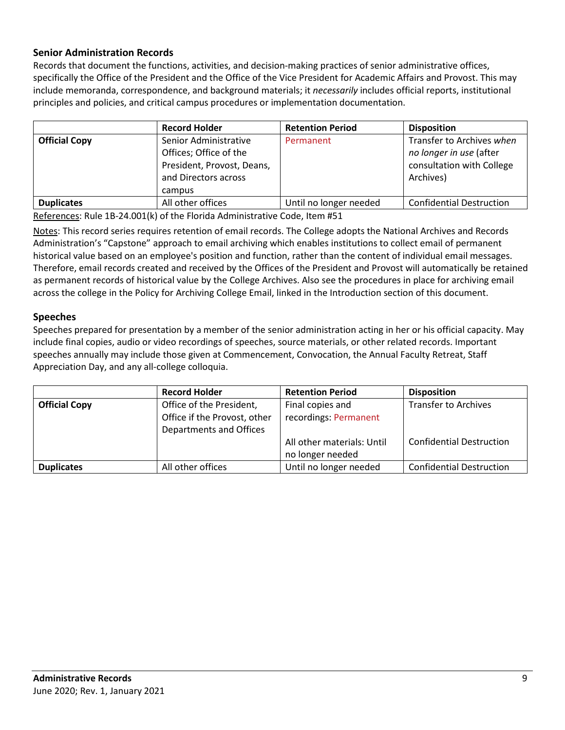## **Senior Administration Records**

Records that document the functions, activities, and decision-making practices of senior administrative offices, specifically the Office of the President and the Office of the Vice President for Academic Affairs and Provost. This may include memoranda, correspondence, and background materials; it *necessarily* includes official reports, institutional principles and policies, and critical campus procedures or implementation documentation.

|                      | <b>Record Holder</b>                                                                                            | <b>Retention Period</b> | <b>Disposition</b>                                                                             |
|----------------------|-----------------------------------------------------------------------------------------------------------------|-------------------------|------------------------------------------------------------------------------------------------|
| <b>Official Copy</b> | Senior Administrative<br>Offices; Office of the<br>President, Provost, Deans,<br>and Directors across<br>campus | Permanent               | Transfer to Archives when<br>no longer in use (after<br>consultation with College<br>Archives) |
| <b>Duplicates</b>    | All other offices                                                                                               | Until no longer needed  | <b>Confidential Destruction</b>                                                                |

References: Rule 1B-24.001(k) of the Florida Administrative Code, Item #51

Notes: This record series requires retention of email records. The College adopts the National Archives and Records Administration's "Capstone" approach to email archiving which enables institutions to collect email of permanent historical value based on an employee's position and function, rather than the content of individual email messages. Therefore, email records created and received by the Offices of the President and Provost will automatically be retained as permanent records of historical value by the College Archives. Also see the procedures in place for archiving email across the college in the Policy for Archiving College Email, linked in the Introduction section of this document.

#### **Speeches**

Speeches prepared for presentation by a member of the senior administration acting in her or his official capacity. May include final copies, audio or video recordings of speeches, source materials, or other related records. Important speeches annually may include those given at Commencement, Convocation, the Annual Faculty Retreat, Staff Appreciation Day, and any all-college colloquia.

|                      | <b>Record Holder</b>                                                                | <b>Retention Period</b>                        | <b>Disposition</b>              |
|----------------------|-------------------------------------------------------------------------------------|------------------------------------------------|---------------------------------|
| <b>Official Copy</b> | Office of the President,<br>Office if the Provost, other<br>Departments and Offices | Final copies and<br>recordings: Permanent      | <b>Transfer to Archives</b>     |
|                      |                                                                                     | All other materials: Until<br>no longer needed | <b>Confidential Destruction</b> |
| <b>Duplicates</b>    | All other offices                                                                   | Until no longer needed                         | <b>Confidential Destruction</b> |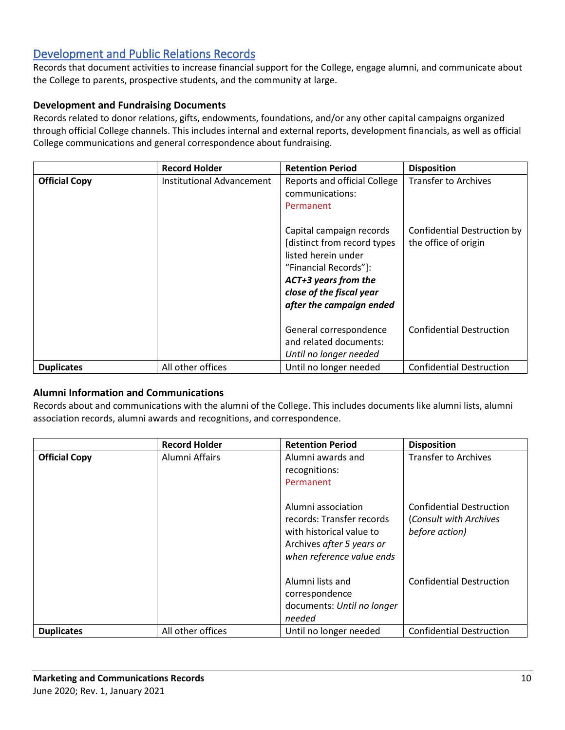# <span id="page-9-0"></span>[Development and Public Relations Records](#page-0-0)

Records that document activities to increase financial support for the College, engage alumni, and communicate about the College to parents, prospective students, and the community at large.

## **Development and Fundraising Documents**

Records related to donor relations, gifts, endowments, foundations, and/or any other capital campaigns organized through official College channels. This includes internal and external reports, development financials, as well as official College communications and general correspondence about fundraising.

|                      | <b>Record Holder</b>      | <b>Retention Period</b>                                                                                                                                                                  | <b>Disposition</b>                                  |
|----------------------|---------------------------|------------------------------------------------------------------------------------------------------------------------------------------------------------------------------------------|-----------------------------------------------------|
| <b>Official Copy</b> | Institutional Advancement | Reports and official College<br>communications:<br>Permanent                                                                                                                             | <b>Transfer to Archives</b>                         |
|                      |                           | Capital campaign records<br>[distinct from record types]<br>listed herein under<br>"Financial Records"]:<br>ACT+3 years from the<br>close of the fiscal year<br>after the campaign ended | Confidential Destruction by<br>the office of origin |
|                      |                           | General correspondence<br>and related documents:<br>Until no longer needed                                                                                                               | <b>Confidential Destruction</b>                     |
| <b>Duplicates</b>    | All other offices         | Until no longer needed                                                                                                                                                                   | <b>Confidential Destruction</b>                     |

## **Alumni Information and Communications**

Records about and communications with the alumni of the College. This includes documents like alumni lists, alumni association records, alumni awards and recognitions, and correspondence.

|                      | <b>Record Holder</b> | <b>Retention Period</b>                                                                                                               | <b>Disposition</b>                                                          |
|----------------------|----------------------|---------------------------------------------------------------------------------------------------------------------------------------|-----------------------------------------------------------------------------|
| <b>Official Copy</b> | Alumni Affairs       | Alumni awards and<br>recognitions:<br>Permanent                                                                                       | <b>Transfer to Archives</b>                                                 |
|                      |                      | Alumni association<br>records: Transfer records<br>with historical value to<br>Archives after 5 years or<br>when reference value ends | <b>Confidential Destruction</b><br>(Consult with Archives<br>before action) |
|                      |                      | Alumni lists and<br>correspondence<br>documents: Until no longer<br>needed                                                            | <b>Confidential Destruction</b>                                             |
| <b>Duplicates</b>    | All other offices    | Until no longer needed                                                                                                                | <b>Confidential Destruction</b>                                             |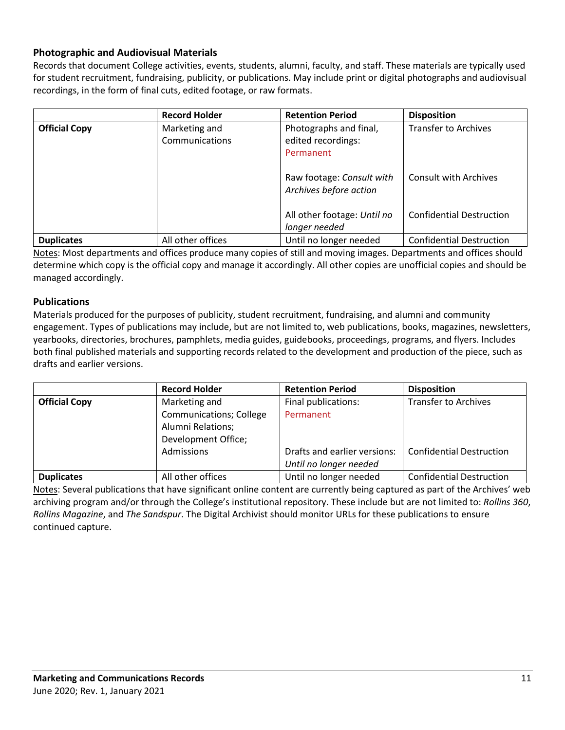## **Photographic and Audiovisual Materials**

Records that document College activities, events, students, alumni, faculty, and staff. These materials are typically used for student recruitment, fundraising, publicity, or publications. May include print or digital photographs and audiovisual recordings, in the form of final cuts, edited footage, or raw formats.

|                      | <b>Record Holder</b> | <b>Retention Period</b>     | <b>Disposition</b>              |
|----------------------|----------------------|-----------------------------|---------------------------------|
| <b>Official Copy</b> | Marketing and        | Photographs and final,      | <b>Transfer to Archives</b>     |
|                      | Communications       | edited recordings:          |                                 |
|                      |                      | Permanent                   |                                 |
|                      |                      |                             |                                 |
|                      |                      | Raw footage: Consult with   | <b>Consult with Archives</b>    |
|                      |                      | Archives before action      |                                 |
|                      |                      |                             |                                 |
|                      |                      | All other footage: Until no | <b>Confidential Destruction</b> |
|                      |                      | longer needed               |                                 |
| <b>Duplicates</b>    | All other offices    | Until no longer needed      | <b>Confidential Destruction</b> |

Notes: Most departments and offices produce many copies of still and moving images. Departments and offices should determine which copy is the official copy and manage it accordingly. All other copies are unofficial copies and should be managed accordingly.

### **Publications**

Materials produced for the purposes of publicity, student recruitment, fundraising, and alumni and community engagement. Types of publications may include, but are not limited to, web publications, books, magazines, newsletters, yearbooks, directories, brochures, pamphlets, media guides, guidebooks, proceedings, programs, and flyers. Includes both final published materials and supporting records related to the development and production of the piece, such as drafts and earlier versions.

|                      | <b>Record Holder</b>           | <b>Retention Period</b>      | <b>Disposition</b>              |
|----------------------|--------------------------------|------------------------------|---------------------------------|
| <b>Official Copy</b> | Marketing and                  | Final publications:          | <b>Transfer to Archives</b>     |
|                      | <b>Communications; College</b> | Permanent                    |                                 |
|                      | Alumni Relations;              |                              |                                 |
|                      | Development Office;            |                              |                                 |
|                      | Admissions                     | Drafts and earlier versions: | <b>Confidential Destruction</b> |
|                      |                                | Until no longer needed       |                                 |
| <b>Duplicates</b>    | All other offices              | Until no longer needed       | <b>Confidential Destruction</b> |

Notes: Several publications that have significant online content are currently being captured as part of the Archives' web archiving program and/or through the College's institutional repository. These include but are not limited to: *Rollins 360*, *Rollins Magazine*, and *The Sandspur*. The Digital Archivist should monitor URLs for these publications to ensure continued capture.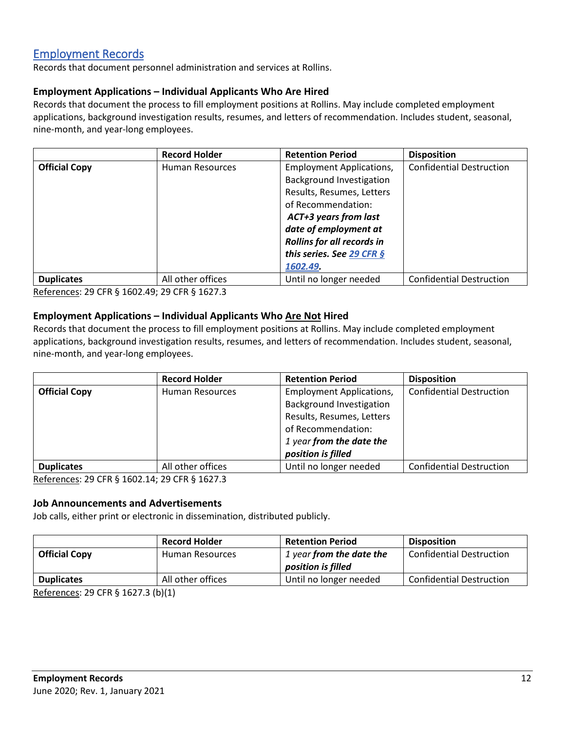# [Employment Records](#page-0-0)

Records that document personnel administration and services at Rollins.

### **Employment Applications – Individual Applicants Who Are Hired**

Records that document the process to fill employment positions at Rollins. May include completed employment applications, background investigation results, resumes, and letters of recommendation. Includes student, seasonal, nine-month, and year-long employees.

|                      | <b>Record Holder</b>   | <b>Retention Period</b>           | <b>Disposition</b>              |
|----------------------|------------------------|-----------------------------------|---------------------------------|
| <b>Official Copy</b> | <b>Human Resources</b> | <b>Employment Applications,</b>   | <b>Confidential Destruction</b> |
|                      |                        | <b>Background Investigation</b>   |                                 |
|                      |                        | Results, Resumes, Letters         |                                 |
|                      |                        | of Recommendation:                |                                 |
|                      |                        | <b>ACT+3 years from last</b>      |                                 |
|                      |                        | date of employment at             |                                 |
|                      |                        | <b>Rollins for all records in</b> |                                 |
|                      |                        | this series. See 29 CFR §         |                                 |
|                      |                        | 1602.49.                          |                                 |
| <b>Duplicates</b>    | All other offices      | Until no longer needed            | <b>Confidential Destruction</b> |

References: 29 CFR § 1602.49; 29 CFR § 1627.3

### **Employment Applications – Individual Applicants Who Are Not Hired**

Records that document the process to fill employment positions at Rollins. May include completed employment applications, background investigation results, resumes, and letters of recommendation. Includes student, seasonal, nine-month, and year-long employees.

| <b>Record Holder</b>   | <b>Retention Period</b>         | <b>Disposition</b>              |
|------------------------|---------------------------------|---------------------------------|
| <b>Human Resources</b> | <b>Employment Applications,</b> | <b>Confidential Destruction</b> |
|                        | <b>Background Investigation</b> |                                 |
|                        | Results, Resumes, Letters       |                                 |
|                        | of Recommendation:              |                                 |
|                        | 1 year from the date the        |                                 |
|                        | position is filled              |                                 |
| All other offices      | Until no longer needed          | <b>Confidential Destruction</b> |
|                        |                                 |                                 |

References: 29 CFR § 1602.14; 29 CFR § 1627.3

#### **Job Announcements and Advertisements**

Job calls, either print or electronic in dissemination, distributed publicly.

|                              | <b>Record Holder</b> | <b>Retention Period</b>  | <b>Disposition</b>              |
|------------------------------|----------------------|--------------------------|---------------------------------|
| <b>Official Copy</b>         | Human Resources      | 1 year from the date the | <b>Confidential Destruction</b> |
|                              |                      | position is filled       |                                 |
| <b>Duplicates</b>            | All other offices    | Until no longer needed   | <b>Confidential Destruction</b> |
| $- - - - - - - - - -$<br>- - |                      |                          |                                 |

References: 29 CFR § 1627.3 (b)(1)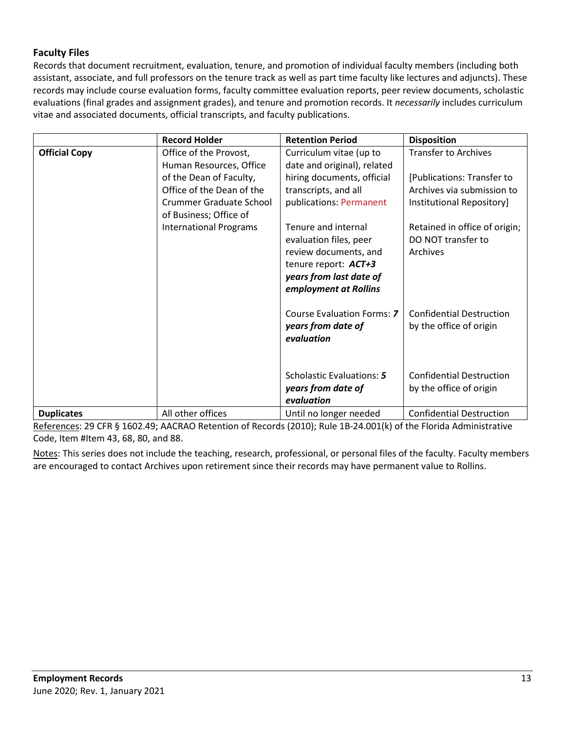## **Faculty Files**

Records that document recruitment, evaluation, tenure, and promotion of individual faculty members (including both assistant, associate, and full professors on the tenure track as well as part time faculty like lectures and adjuncts). These records may include course evaluation forms, faculty committee evaluation reports, peer review documents, scholastic evaluations (final grades and assignment grades), and tenure and promotion records. It *necessarily* includes curriculum vitae and associated documents, official transcripts, and faculty publications.

|                      | <b>Record Holder</b>                                                                                             | <b>Retention Period</b>                                                                                                                            | <b>Disposition</b>                                                                    |
|----------------------|------------------------------------------------------------------------------------------------------------------|----------------------------------------------------------------------------------------------------------------------------------------------------|---------------------------------------------------------------------------------------|
| <b>Official Copy</b> | Office of the Provost,<br>Human Resources, Office                                                                | Curriculum vitae (up to<br>date and original), related                                                                                             | <b>Transfer to Archives</b>                                                           |
|                      | of the Dean of Faculty,<br>Office of the Dean of the<br><b>Crummer Graduate School</b><br>of Business; Office of | hiring documents, official<br>transcripts, and all<br>publications: Permanent                                                                      | [Publications: Transfer to<br>Archives via submission to<br>Institutional Repository] |
|                      | <b>International Programs</b>                                                                                    | Tenure and internal<br>evaluation files, peer<br>review documents, and<br>tenure report: ACT+3<br>years from last date of<br>employment at Rollins | Retained in office of origin;<br>DO NOT transfer to<br>Archives                       |
|                      |                                                                                                                  | Course Evaluation Forms: 7<br>years from date of<br>evaluation                                                                                     | <b>Confidential Destruction</b><br>by the office of origin                            |
|                      |                                                                                                                  | Scholastic Evaluations: 5<br>years from date of                                                                                                    | <b>Confidential Destruction</b><br>by the office of origin                            |
|                      |                                                                                                                  | evaluation                                                                                                                                         |                                                                                       |
| <b>Duplicates</b>    | All other offices                                                                                                | Until no longer needed                                                                                                                             | <b>Confidential Destruction</b>                                                       |

References: 29 CFR § 1602.49; AACRAO Retention of Records (2010); Rule 1B-24.001(k) of the Florida Administrative Code, Item #Item 43, 68, 80, and 88.

Notes: This series does not include the teaching, research, professional, or personal files of the faculty. Faculty members are encouraged to contact Archives upon retirement since their records may have permanent value to Rollins.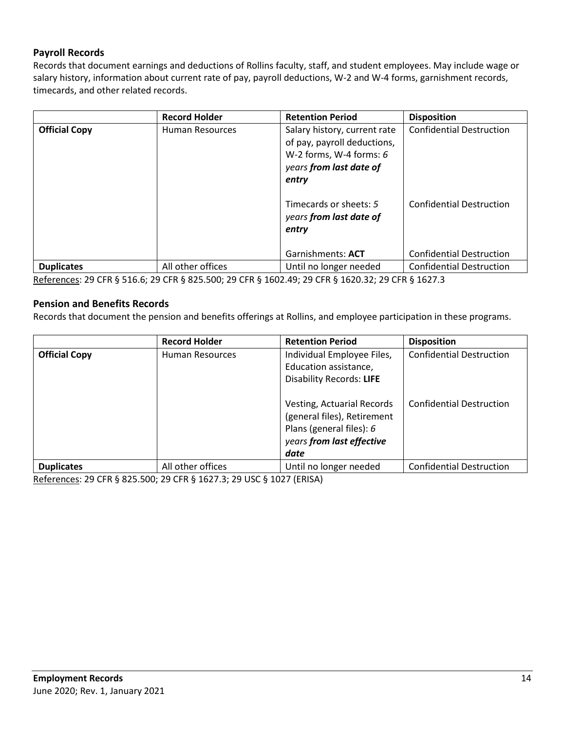## **Payroll Records**

Records that document earnings and deductions of Rollins faculty, staff, and student employees. May include wage or salary history, information about current rate of pay, payroll deductions, W-2 and W-4 forms, garnishment records, timecards, and other related records.

|                      | <b>Record Holder</b> | <b>Retention Period</b>                                                                                                                                                                    | <b>Disposition</b>                                                 |
|----------------------|----------------------|--------------------------------------------------------------------------------------------------------------------------------------------------------------------------------------------|--------------------------------------------------------------------|
| <b>Official Copy</b> | Human Resources      | Salary history, current rate<br>of pay, payroll deductions,<br>W-2 forms, W-4 forms: $6$<br>years from last date of<br>entry<br>Timecards or sheets: 5<br>years from last date of<br>entry | <b>Confidential Destruction</b><br><b>Confidential Destruction</b> |
|                      |                      | Garnishments: ACT                                                                                                                                                                          | <b>Confidential Destruction</b>                                    |
| <b>Duplicates</b>    | All other offices    | Until no longer needed                                                                                                                                                                     | <b>Confidential Destruction</b>                                    |

References: 29 CFR § 516.6; 29 CFR § 825.500; 29 CFR § 1602.49; 29 CFR § 1620.32; 29 CFR § 1627.3

#### **Pension and Benefits Records**

Records that document the pension and benefits offerings at Rollins, and employee participation in these programs.

|                      | <b>Record Holder</b> | <b>Retention Period</b>         | <b>Disposition</b>              |
|----------------------|----------------------|---------------------------------|---------------------------------|
| <b>Official Copy</b> | Human Resources      | Individual Employee Files,      | <b>Confidential Destruction</b> |
|                      |                      | Education assistance,           |                                 |
|                      |                      | <b>Disability Records: LIFE</b> |                                 |
|                      |                      |                                 |                                 |
|                      |                      | Vesting, Actuarial Records      | <b>Confidential Destruction</b> |
|                      |                      | (general files), Retirement     |                                 |
|                      |                      | Plans (general files): $6$      |                                 |
|                      |                      | years from last effective       |                                 |
|                      |                      | date                            |                                 |
| <b>Duplicates</b>    | All other offices    | Until no longer needed          | <b>Confidential Destruction</b> |

References: 29 CFR § 825.500; 29 CFR § 1627.3; 29 USC § 1027 (ERISA)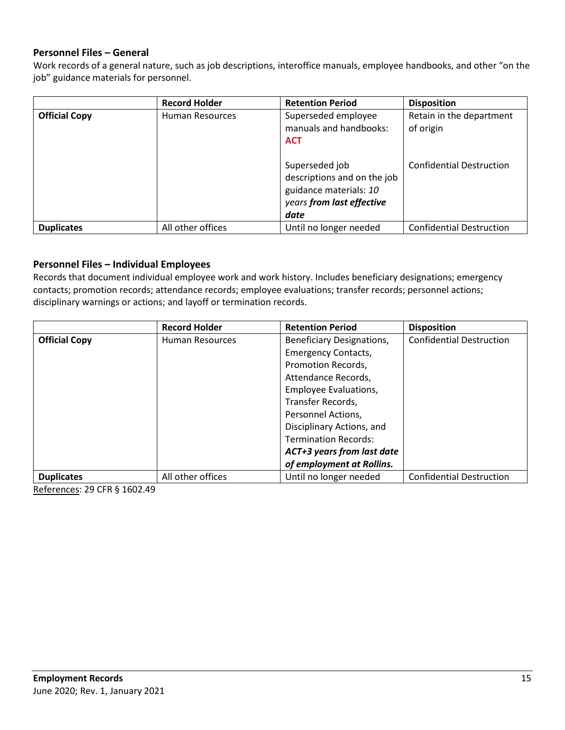### **Personnel Files – General**

Work records of a general nature, such as job descriptions, interoffice manuals, employee handbooks, and other "on the job" guidance materials for personnel.

<span id="page-14-0"></span>

|                      | <b>Record Holder</b> | <b>Retention Period</b>                                                                                                                                                     | <b>Disposition</b>                                                       |
|----------------------|----------------------|-----------------------------------------------------------------------------------------------------------------------------------------------------------------------------|--------------------------------------------------------------------------|
| <b>Official Copy</b> | Human Resources      | Superseded employee<br>manuals and handbooks:<br><b>ACT</b><br>Superseded job<br>descriptions and on the job<br>guidance materials: 10<br>years from last effective<br>date | Retain in the department<br>of origin<br><b>Confidential Destruction</b> |
| <b>Duplicates</b>    | All other offices    | Until no longer needed                                                                                                                                                      | <b>Confidential Destruction</b>                                          |

#### **Personnel Files – Individual Employees**

Records that document individual employee work and work history. Includes beneficiary designations; emergency contacts; promotion records; attendance records; employee evaluations; transfer records; personnel actions; disciplinary warnings or actions; and layoff or termination records.

|                      | <b>Record Holder</b>   | <b>Retention Period</b>     | <b>Disposition</b>              |
|----------------------|------------------------|-----------------------------|---------------------------------|
| <b>Official Copy</b> | <b>Human Resources</b> | Beneficiary Designations,   | <b>Confidential Destruction</b> |
|                      |                        | <b>Emergency Contacts,</b>  |                                 |
|                      |                        | Promotion Records,          |                                 |
|                      |                        | Attendance Records,         |                                 |
|                      |                        | Employee Evaluations,       |                                 |
|                      |                        | Transfer Records,           |                                 |
|                      |                        | Personnel Actions,          |                                 |
|                      |                        | Disciplinary Actions, and   |                                 |
|                      |                        | <b>Termination Records:</b> |                                 |
|                      |                        | ACT+3 years from last date  |                                 |
|                      |                        | of employment at Rollins.   |                                 |
| <b>Duplicates</b>    | All other offices      | Until no longer needed      | <b>Confidential Destruction</b> |

References: 29 CFR § 1602.49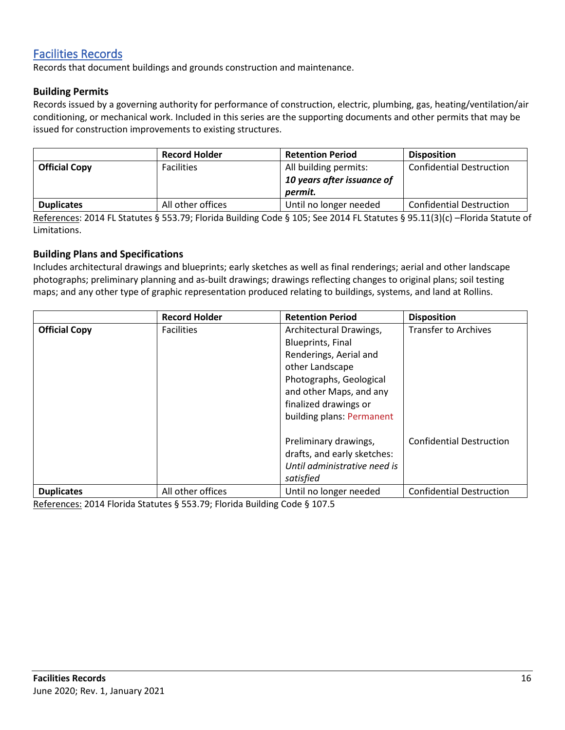# [Facilities Records](#page-0-0)

Records that document buildings and grounds construction and maintenance.

### **Building Permits**

Records issued by a governing authority for performance of construction, electric, plumbing, gas, heating/ventilation/air conditioning, or mechanical work. Included in this series are the supporting documents and other permits that may be issued for construction improvements to existing structures.

|                      | <b>Record Holder</b> | <b>Retention Period</b>    | <b>Disposition</b>              |
|----------------------|----------------------|----------------------------|---------------------------------|
| <b>Official Copy</b> | <b>Facilities</b>    | All building permits:      | <b>Confidential Destruction</b> |
|                      |                      | 10 years after issuance of |                                 |
|                      |                      | permit.                    |                                 |
| <b>Duplicates</b>    | All other offices    | Until no longer needed     | <b>Confidential Destruction</b> |

References: 2014 FL Statutes § 553.79; Florida Building Code § 105; See 2014 FL Statutes § 95.11(3)(c) –Florida Statute of Limitations.

#### **Building Plans and Specifications**

Includes architectural drawings and blueprints; early sketches as well as final renderings; aerial and other landscape photographs; preliminary planning and as-built drawings; drawings reflecting changes to original plans; soil testing maps; and any other type of graphic representation produced relating to buildings, systems, and land at Rollins.

|                      | <b>Record Holder</b> | <b>Retention Period</b>      | <b>Disposition</b>              |
|----------------------|----------------------|------------------------------|---------------------------------|
| <b>Official Copy</b> | <b>Facilities</b>    | Architectural Drawings,      | <b>Transfer to Archives</b>     |
|                      |                      | <b>Blueprints, Final</b>     |                                 |
|                      |                      | Renderings, Aerial and       |                                 |
|                      |                      | other Landscape              |                                 |
|                      |                      | Photographs, Geological      |                                 |
|                      |                      | and other Maps, and any      |                                 |
|                      |                      | finalized drawings or        |                                 |
|                      |                      | building plans: Permanent    |                                 |
|                      |                      |                              |                                 |
|                      |                      | Preliminary drawings,        | <b>Confidential Destruction</b> |
|                      |                      | drafts, and early sketches:  |                                 |
|                      |                      | Until administrative need is |                                 |
|                      |                      | satisfied                    |                                 |
| <b>Duplicates</b>    | All other offices    | Until no longer needed       | <b>Confidential Destruction</b> |

References: 2014 Florida Statutes § 553.79; Florida Building Code § 107.5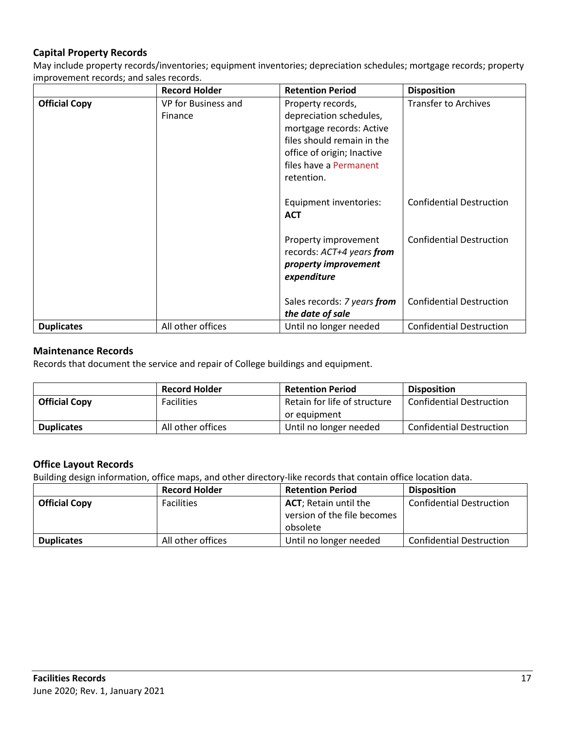## **Capital Property Records**

May include property records/inventories; equipment inventories; depreciation schedules; mortgage records; property improvement records; and sales records.

|                      | <b>Record Holder</b>           | <b>Retention Period</b>                                                                                                                                                      | <b>Disposition</b>              |
|----------------------|--------------------------------|------------------------------------------------------------------------------------------------------------------------------------------------------------------------------|---------------------------------|
| <b>Official Copy</b> | VP for Business and<br>Finance | Property records,<br>depreciation schedules,<br>mortgage records: Active<br>files should remain in the<br>office of origin; Inactive<br>files have a Permanent<br>retention. | <b>Transfer to Archives</b>     |
|                      |                                | Equipment inventories:<br><b>ACT</b>                                                                                                                                         | <b>Confidential Destruction</b> |
|                      |                                | Property improvement<br>records: ACT+4 years from<br>property improvement<br>expenditure                                                                                     | <b>Confidential Destruction</b> |
|                      |                                | Sales records: 7 years from<br>the date of sale                                                                                                                              | <b>Confidential Destruction</b> |
| <b>Duplicates</b>    | All other offices              | Until no longer needed                                                                                                                                                       | <b>Confidential Destruction</b> |

#### **Maintenance Records**

Records that document the service and repair of College buildings and equipment.

|                      | <b>Record Holder</b> | <b>Retention Period</b>      | <b>Disposition</b>              |
|----------------------|----------------------|------------------------------|---------------------------------|
| <b>Official Copy</b> | <b>Facilities</b>    | Retain for life of structure | <b>Confidential Destruction</b> |
|                      |                      | or equipment                 |                                 |
| <b>Duplicates</b>    | All other offices    | Until no longer needed       | <b>Confidential Destruction</b> |

#### **Office Layout Records**

Building design information, office maps, and other directory-like records that contain office location data.

|                      | <b>Record Holder</b> | <b>Retention Period</b>       | <b>Disposition</b>              |
|----------------------|----------------------|-------------------------------|---------------------------------|
| <b>Official Copy</b> | <b>Facilities</b>    | <b>ACT</b> ; Retain until the | <b>Confidential Destruction</b> |
|                      |                      | version of the file becomes   |                                 |
|                      |                      | obsolete                      |                                 |
| <b>Duplicates</b>    | All other offices    | Until no longer needed        | <b>Confidential Destruction</b> |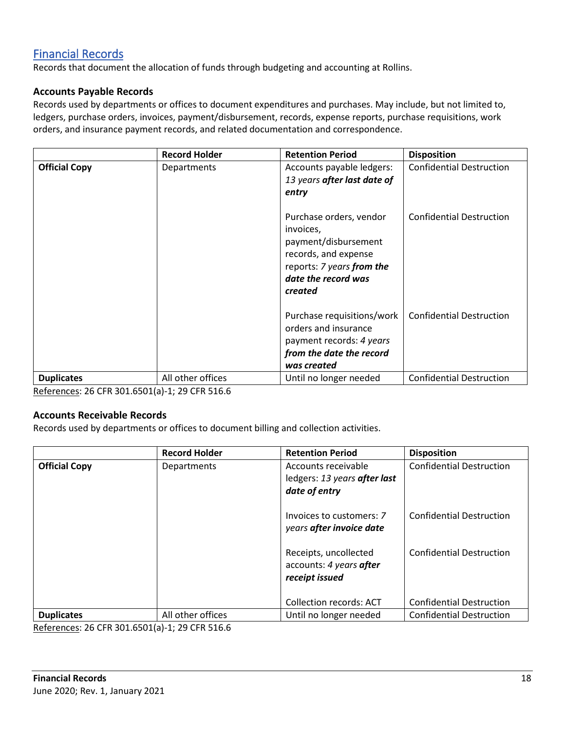# <span id="page-17-0"></span>[Financial Records](#page-0-0)

Records that document the allocation of funds through budgeting and accounting at Rollins.

#### **Accounts Payable Records**

Records used by departments or offices to document expenditures and purchases. May include, but not limited to, ledgers, purchase orders, invoices, payment/disbursement, records, expense reports, purchase requisitions, work orders, and insurance payment records, and related documentation and correspondence.

|                      | <b>Record Holder</b> | <b>Retention Period</b>                                                                                                                             | <b>Disposition</b>              |
|----------------------|----------------------|-----------------------------------------------------------------------------------------------------------------------------------------------------|---------------------------------|
| <b>Official Copy</b> | Departments          | Accounts payable ledgers:<br>13 years after last date of<br>entry                                                                                   | <b>Confidential Destruction</b> |
|                      |                      | Purchase orders, vendor<br>invoices,<br>payment/disbursement<br>records, and expense<br>reports: 7 years from the<br>date the record was<br>created | <b>Confidential Destruction</b> |
|                      |                      | Purchase requisitions/work<br>orders and insurance<br>payment records: 4 years<br>from the date the record<br>was created                           | <b>Confidential Destruction</b> |
| <b>Duplicates</b>    | All other offices    | Until no longer needed                                                                                                                              | <b>Confidential Destruction</b> |

References: 26 CFR 301.6501(a)-1; 29 CFR 516.6

#### **Accounts Receivable Records**

Records used by departments or offices to document billing and collection activities.

|                      | <b>Record Holder</b> | <b>Retention Period</b>                                              | <b>Disposition</b>              |
|----------------------|----------------------|----------------------------------------------------------------------|---------------------------------|
| <b>Official Copy</b> | Departments          | Accounts receivable<br>ledgers: 13 years after last<br>date of entry | <b>Confidential Destruction</b> |
|                      |                      | Invoices to customers: 7<br>years after invoice date                 | <b>Confidential Destruction</b> |
|                      |                      | Receipts, uncollected<br>accounts: 4 years after<br>receipt issued   | <b>Confidential Destruction</b> |
|                      |                      | <b>Collection records: ACT</b>                                       | <b>Confidential Destruction</b> |
| <b>Duplicates</b>    | All other offices    | Until no longer needed                                               | <b>Confidential Destruction</b> |

References: 26 CFR 301.6501(a)-1; 29 CFR 516.6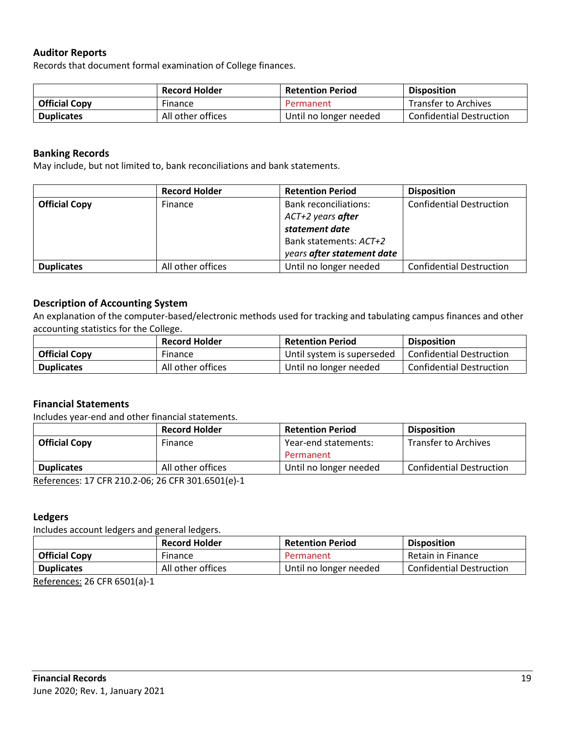### **Auditor Reports**

Records that document formal examination of College finances.

|                      | <b>Record Holder</b> | <b>Retention Period</b> | <b>Disposition</b>              |
|----------------------|----------------------|-------------------------|---------------------------------|
| <b>Official Copy</b> | Finance              | Permanent               | <b>Transfer to Archives</b>     |
| <b>Duplicates</b>    | All other offices    | Until no longer needed  | <b>Confidential Destruction</b> |

#### **Banking Records**

May include, but not limited to, bank reconciliations and bank statements.

|                      | <b>Record Holder</b> | <b>Retention Period</b>      | <b>Disposition</b>              |
|----------------------|----------------------|------------------------------|---------------------------------|
| <b>Official Copy</b> | Finance              | <b>Bank reconciliations:</b> | <b>Confidential Destruction</b> |
|                      |                      | ACT+2 years after            |                                 |
|                      |                      | statement date               |                                 |
|                      |                      | Bank statements: ACT+2       |                                 |
|                      |                      | years after statement date   |                                 |
| <b>Duplicates</b>    | All other offices    | Until no longer needed       | <b>Confidential Destruction</b> |

#### **Description of Accounting System**

An explanation of the computer-based/electronic methods used for tracking and tabulating campus finances and other accounting statistics for the College.

|                      | <b>Record Holder</b> | <b>Retention Period</b>    | <b>Disposition</b>       |
|----------------------|----------------------|----------------------------|--------------------------|
| <b>Official Copy</b> | Finance              | Until system is superseded | Confidential Destruction |
| <b>Duplicates</b>    | All other offices    | Until no longer needed     | Confidential Destruction |

#### **Financial Statements**

Includes year-end and other financial statements.

|                                                   | <b>Record Holder</b> | <b>Retention Period</b> | <b>Disposition</b>              |
|---------------------------------------------------|----------------------|-------------------------|---------------------------------|
| <b>Official Copy</b>                              | Finance              | Year-end statements:    | <b>Transfer to Archives</b>     |
|                                                   |                      | Permanent               |                                 |
| <b>Duplicates</b>                                 | All other offices    | Until no longer needed  | <b>Confidential Destruction</b> |
| References: 17 CFR 210.2-06: 26 CFR 301.6501(e)-1 |                      |                         |                                 |

 $\mathcal{L}$ o CLV 301.6201(e)

#### **Ledgers**

Includes account ledgers and general ledgers.

|                      | <b>Record Holder</b> | <b>Retention Period</b> | <b>Disposition</b>              |
|----------------------|----------------------|-------------------------|---------------------------------|
| <b>Official Copy</b> | Finance              | Permanent               | Retain in Finance               |
| <b>Duplicates</b>    | All other offices    | Until no longer needed  | <b>Confidential Destruction</b> |
| $\cdots$<br>$ -$     |                      |                         |                                 |

References: 26 CFR 6501(a)-1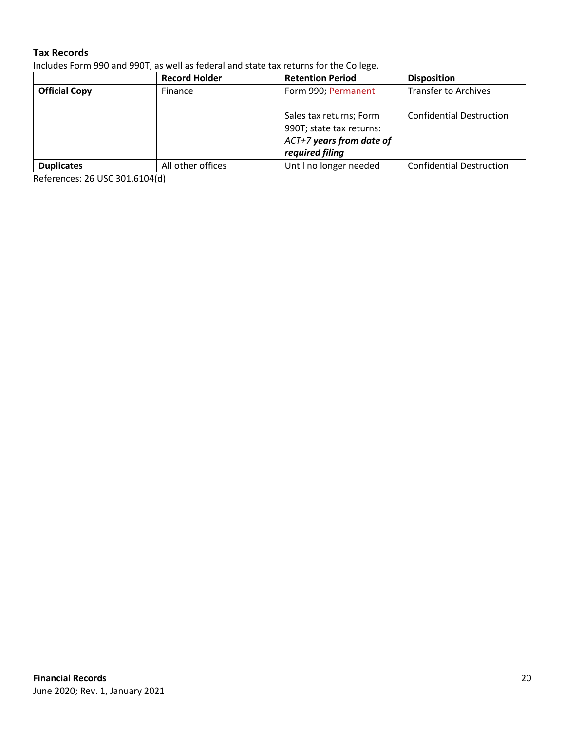## **Tax Records**

Includes Form 990 and 990T, as well as federal and state tax returns for the College.

|                      | <b>Record Holder</b> | <b>Retention Period</b>                                                                            | <b>Disposition</b>              |
|----------------------|----------------------|----------------------------------------------------------------------------------------------------|---------------------------------|
| <b>Official Copy</b> | Finance              | Form 990; Permanent                                                                                | <b>Transfer to Archives</b>     |
|                      |                      | Sales tax returns; Form<br>990T; state tax returns:<br>ACT+7 years from date of<br>required filing | <b>Confidential Destruction</b> |
| <b>Duplicates</b>    | All other offices    | Until no longer needed                                                                             | <b>Confidential Destruction</b> |

References: 26 USC 301.6104(d)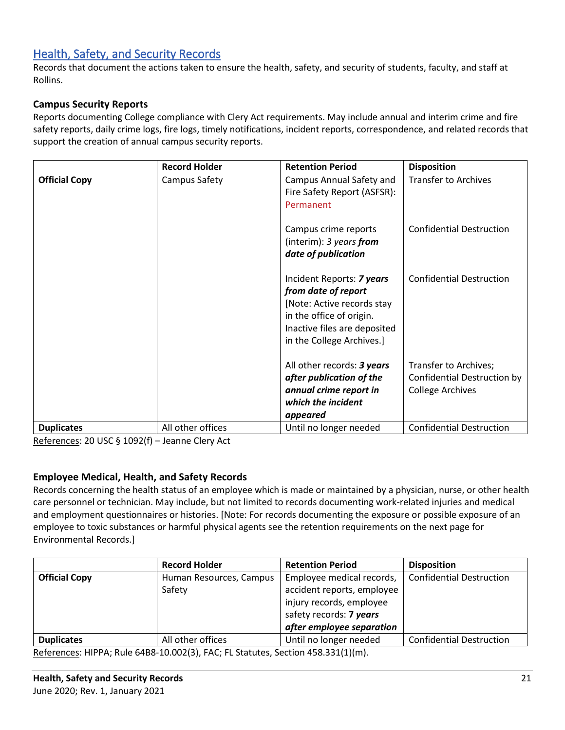# <span id="page-20-0"></span>[Health, Safety, and Security Records](#page-0-0)

Records that document the actions taken to ensure the health, safety, and security of students, faculty, and staff at Rollins.

## **Campus Security Reports**

Reports documenting College compliance with Clery Act requirements. May include annual and interim crime and fire safety reports, daily crime logs, fire logs, timely notifications, incident reports, correspondence, and related records that support the creation of annual campus security reports.

|                      | <b>Record Holder</b> | <b>Retention Period</b>                                                                                                                                                 | <b>Disposition</b>                                                              |
|----------------------|----------------------|-------------------------------------------------------------------------------------------------------------------------------------------------------------------------|---------------------------------------------------------------------------------|
| <b>Official Copy</b> | Campus Safety        | <b>Campus Annual Safety and</b><br>Fire Safety Report (ASFSR):<br>Permanent                                                                                             | <b>Transfer to Archives</b>                                                     |
|                      |                      | Campus crime reports<br>(interim): $3 \text{ years}$ from<br>date of publication                                                                                        | <b>Confidential Destruction</b>                                                 |
|                      |                      | Incident Reports: 7 years<br>from date of report<br>[Note: Active records stay<br>in the office of origin.<br>Inactive files are deposited<br>in the College Archives.] | <b>Confidential Destruction</b>                                                 |
|                      |                      | All other records: 3 years<br>after publication of the<br>annual crime report in<br>which the incident<br>appeared                                                      | Transfer to Archives;<br>Confidential Destruction by<br><b>College Archives</b> |
| <b>Duplicates</b>    | All other offices    | Until no longer needed                                                                                                                                                  | <b>Confidential Destruction</b>                                                 |

References: 20 USC § 1092(f) – Jeanne Clery Act

## **Employee Medical, Health, and Safety Records**

Records concerning the health status of an employee which is made or maintained by a physician, nurse, or other health care personnel or technician. May include, but not limited to records documenting work-related injuries and medical and employment questionnaires or histories. [Note: For records documenting the exposure or possible exposure of an employee to toxic substances or harmful physical agents see the retention requirements on the next page for Environmental Records.]

|                      | <b>Record Holder</b>                                             | <b>Retention Period</b>    | <b>Disposition</b>              |
|----------------------|------------------------------------------------------------------|----------------------------|---------------------------------|
| <b>Official Copy</b> | Human Resources, Campus                                          | Employee medical records,  | <b>Confidential Destruction</b> |
|                      | Safety                                                           | accident reports, employee |                                 |
|                      |                                                                  | injury records, employee   |                                 |
|                      |                                                                  | safety records: 7 years    |                                 |
|                      |                                                                  | after employee separation  |                                 |
| <b>Duplicates</b>    | All other offices                                                | Until no longer needed     | <b>Confidential Destruction</b> |
|                      | $Defallence (HDRA, D) \sim CAD0.40.002(2) FAC, FDC, FDC, C1.41.$ |                            |                                 |

References: HIPPA; Rule 64B8-10.002(3), FAC; FL Statutes, Section 458.331(1)(m).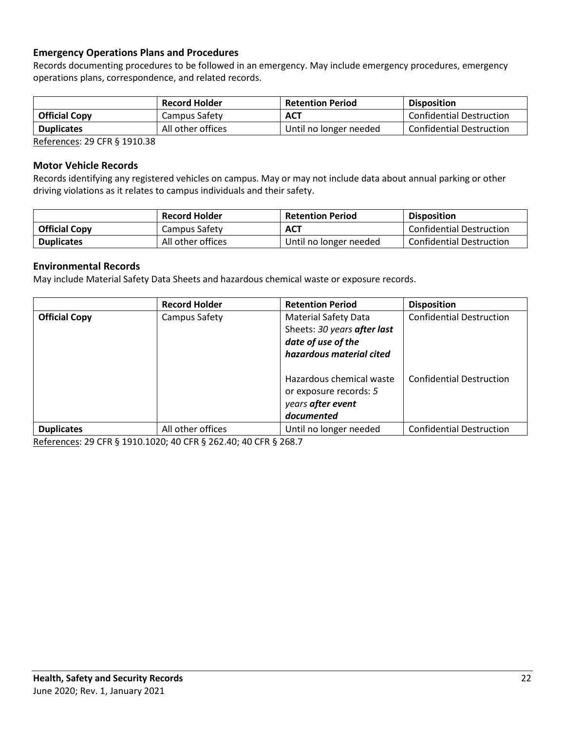## **Emergency Operations Plans and Procedures**

Records documenting procedures to be followed in an emergency. May include emergency procedures, emergency operations plans, correspondence, and related records.

|                      | <b>Record Holder</b> | <b>Retention Period</b> | <b>Disposition</b>              |
|----------------------|----------------------|-------------------------|---------------------------------|
| <b>Official Copy</b> | Campus Safety        | <b>ACT</b>              | Confidential Destruction        |
| <b>Duplicates</b>    | All other offices    | Until no longer needed  | <b>Confidential Destruction</b> |

References: 29 CFR § 1910.38

#### **Motor Vehicle Records**

Records identifying any registered vehicles on campus. May or may not include data about annual parking or other driving violations as it relates to campus individuals and their safety.

|                      | <b>Record Holder</b> | <b>Retention Period</b> | <b>Disposition</b>              |
|----------------------|----------------------|-------------------------|---------------------------------|
| <b>Official Copy</b> | Campus Safety        | <b>ACT</b>              | <b>Confidential Destruction</b> |
| <b>Duplicates</b>    | All other offices    | Until no longer needed  | <b>Confidential Destruction</b> |

#### **Environmental Records**

May include Material Safety Data Sheets and hazardous chemical waste or exposure records.

|                      | <b>Record Holder</b> | <b>Retention Period</b>     | <b>Disposition</b>              |
|----------------------|----------------------|-----------------------------|---------------------------------|
| <b>Official Copy</b> | Campus Safety        | <b>Material Safety Data</b> | <b>Confidential Destruction</b> |
|                      |                      | Sheets: 30 years after last |                                 |
|                      |                      | date of use of the          |                                 |
|                      |                      | hazardous material cited    |                                 |
|                      |                      |                             |                                 |
|                      |                      | Hazardous chemical waste    | <b>Confidential Destruction</b> |
|                      |                      | or exposure records: 5      |                                 |
|                      |                      | years after event           |                                 |
|                      |                      | documented                  |                                 |
| <b>Duplicates</b>    | All other offices    | Until no longer needed      | <b>Confidential Destruction</b> |

References: 29 CFR § 1910.1020; 40 CFR § 262.40; 40 CFR § 268.7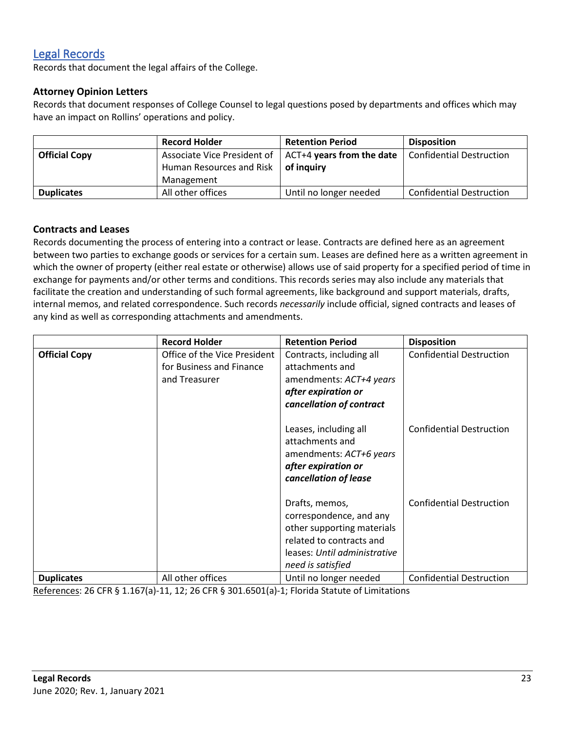# [Legal Records](#page-0-0)

Records that document the legal affairs of the College.

## **Attorney Opinion Letters**

Records that document responses of College Counsel to legal questions posed by departments and offices which may have an impact on Rollins' operations and policy.

|                      | <b>Record Holder</b>     | <b>Retention Period</b>                                           | <b>Disposition</b>              |
|----------------------|--------------------------|-------------------------------------------------------------------|---------------------------------|
| <b>Official Copy</b> |                          | Associate Vice President of $\parallel$ ACT+4 years from the date | <b>Confidential Destruction</b> |
|                      | Human Resources and Risk | of inauirv                                                        |                                 |
|                      | Management               |                                                                   |                                 |
| <b>Duplicates</b>    | All other offices        | Until no longer needed                                            | <b>Confidential Destruction</b> |

#### **Contracts and Leases**

Records documenting the process of entering into a contract or lease. Contracts are defined here as an agreement between two parties to exchange goods or services for a certain sum. Leases are defined here as a written agreement in which the owner of property (either real estate or otherwise) allows use of said property for a specified period of time in exchange for payments and/or other terms and conditions. This records series may also include any materials that facilitate the creation and understanding of such formal agreements, like background and support materials, drafts, internal memos, and related correspondence. Such records *necessarily* include official, signed contracts and leases of any kind as well as corresponding attachments and amendments.

|                      | <b>Record Holder</b>                                                      | <b>Retention Period</b>                                                                                                                                  | <b>Disposition</b>              |
|----------------------|---------------------------------------------------------------------------|----------------------------------------------------------------------------------------------------------------------------------------------------------|---------------------------------|
| <b>Official Copy</b> | Office of the Vice President<br>for Business and Finance<br>and Treasurer | Contracts, including all<br>attachments and<br>amendments: ACT+4 years<br>after expiration or<br>cancellation of contract                                | <b>Confidential Destruction</b> |
|                      |                                                                           | Leases, including all<br>attachments and<br>amendments: ACT+6 years<br>after expiration or<br>cancellation of lease                                      | <b>Confidential Destruction</b> |
|                      |                                                                           | Drafts, memos,<br>correspondence, and any<br>other supporting materials<br>related to contracts and<br>leases: Until administrative<br>need is satisfied | <b>Confidential Destruction</b> |
| <b>Duplicates</b>    | All other offices                                                         | Until no longer needed                                                                                                                                   | <b>Confidential Destruction</b> |

References: 26 CFR § 1.167(a)-11, 12; 26 CFR § 301.6501(a)-1; Florida Statute of Limitations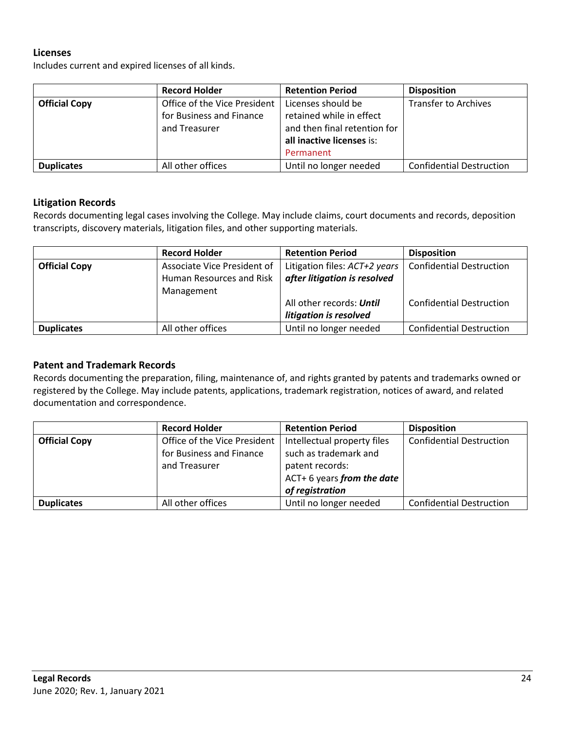#### **Licenses**

Includes current and expired licenses of all kinds.

|                      | <b>Record Holder</b>         | <b>Retention Period</b>      | <b>Disposition</b>              |
|----------------------|------------------------------|------------------------------|---------------------------------|
| <b>Official Copy</b> | Office of the Vice President | Licenses should be           | <b>Transfer to Archives</b>     |
|                      | for Business and Finance     | retained while in effect     |                                 |
|                      | and Treasurer                | and then final retention for |                                 |
|                      |                              | all inactive licenses is:    |                                 |
|                      |                              | Permanent                    |                                 |
| <b>Duplicates</b>    | All other offices            | Until no longer needed       | <b>Confidential Destruction</b> |

#### **Litigation Records**

Records documenting legal cases involving the College. May include claims, court documents and records, deposition transcripts, discovery materials, litigation files, and other supporting materials.

|                      | <b>Record Holder</b>        | <b>Retention Period</b>       | <b>Disposition</b>              |
|----------------------|-----------------------------|-------------------------------|---------------------------------|
| <b>Official Copy</b> | Associate Vice President of | Litigation files: ACT+2 years | <b>Confidential Destruction</b> |
|                      | Human Resources and Risk    | after litigation is resolved  |                                 |
|                      | Management                  |                               |                                 |
|                      |                             | All other records: Until      | <b>Confidential Destruction</b> |
|                      |                             | litigation is resolved        |                                 |
| <b>Duplicates</b>    | All other offices           | Until no longer needed        | <b>Confidential Destruction</b> |

### **Patent and Trademark Records**

Records documenting the preparation, filing, maintenance of, and rights granted by patents and trademarks owned or registered by the College. May include patents, applications, trademark registration, notices of award, and related documentation and correspondence.

|                      | <b>Record Holder</b>         | <b>Retention Period</b>     | <b>Disposition</b>              |
|----------------------|------------------------------|-----------------------------|---------------------------------|
| <b>Official Copy</b> | Office of the Vice President | Intellectual property files | <b>Confidential Destruction</b> |
|                      | for Business and Finance     | such as trademark and       |                                 |
|                      | and Treasurer                | patent records:             |                                 |
|                      |                              | ACT+ 6 years from the date  |                                 |
|                      |                              | of registration             |                                 |
| <b>Duplicates</b>    | All other offices            | Until no longer needed      | <b>Confidential Destruction</b> |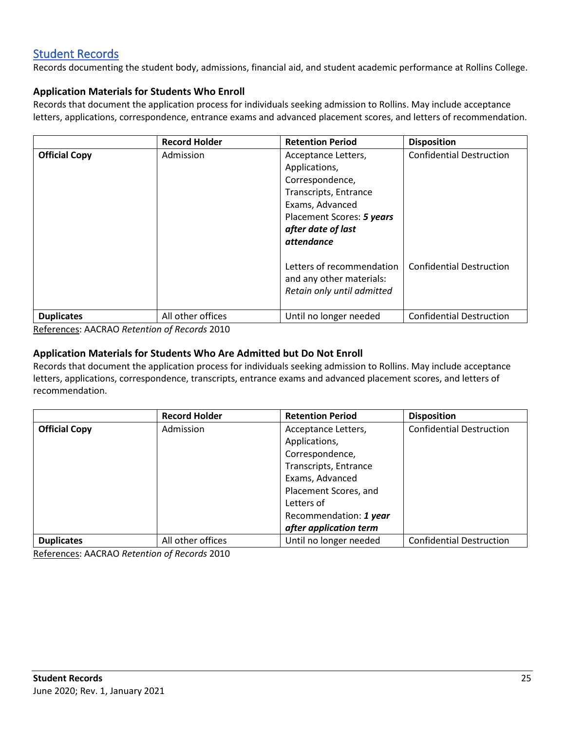## <span id="page-24-0"></span>[Student Records](#page-0-0)

Records documenting the student body, admissions, financial aid, and student academic performance at Rollins College.

## **Application Materials for Students Who Enroll**

Records that document the application process for individuals seeking admission to Rollins. May include acceptance letters, applications, correspondence, entrance exams and advanced placement scores, and letters of recommendation.

|                      | <b>Record Holder</b> | <b>Retention Period</b>                                                                                                                                                     | <b>Disposition</b>              |
|----------------------|----------------------|-----------------------------------------------------------------------------------------------------------------------------------------------------------------------------|---------------------------------|
| <b>Official Copy</b> | Admission            | Acceptance Letters,<br>Applications,<br>Correspondence,<br>Transcripts, Entrance<br>Exams, Advanced<br>Placement Scores: 5 years<br>after date of last<br><i>attendance</i> | <b>Confidential Destruction</b> |
|                      |                      | Letters of recommendation<br>and any other materials:<br>Retain only until admitted                                                                                         | <b>Confidential Destruction</b> |
| <b>Duplicates</b>    | All other offices    | Until no longer needed                                                                                                                                                      | <b>Confidential Destruction</b> |

References: AACRAO *Retention of Records* 2010

## **Application Materials for Students Who Are Admitted but Do Not Enroll**

Records that document the application process for individuals seeking admission to Rollins. May include acceptance letters, applications, correspondence, transcripts, entrance exams and advanced placement scores, and letters of recommendation.

|                      | <b>Record Holder</b> | <b>Retention Period</b> | <b>Disposition</b>              |
|----------------------|----------------------|-------------------------|---------------------------------|
| <b>Official Copy</b> | Admission            | Acceptance Letters,     | <b>Confidential Destruction</b> |
|                      |                      | Applications,           |                                 |
|                      |                      | Correspondence,         |                                 |
|                      |                      | Transcripts, Entrance   |                                 |
|                      |                      | Exams, Advanced         |                                 |
|                      |                      | Placement Scores, and   |                                 |
|                      |                      | Letters of              |                                 |
|                      |                      | Recommendation: 1 year  |                                 |
|                      |                      | after application term  |                                 |
| <b>Duplicates</b>    | All other offices    | Until no longer needed  | <b>Confidential Destruction</b> |

References: AACRAO *Retention of Records* 2010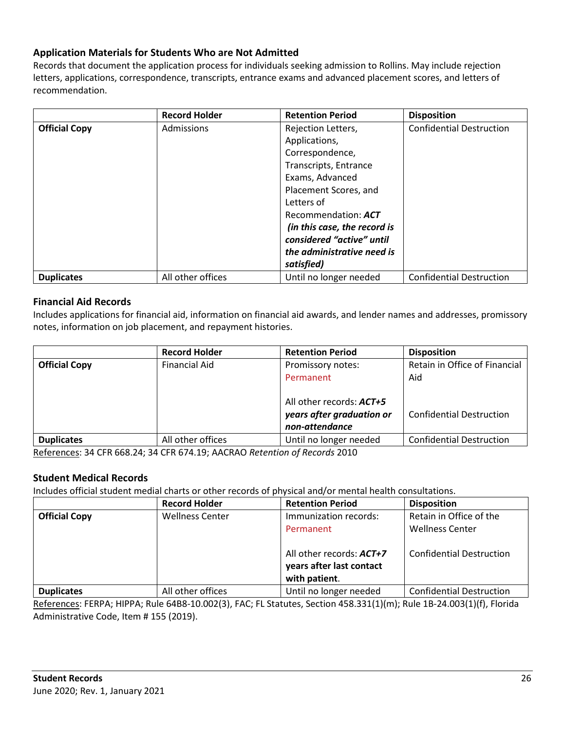## **Application Materials for Students Who are Not Admitted**

Records that document the application process for individuals seeking admission to Rollins. May include rejection letters, applications, correspondence, transcripts, entrance exams and advanced placement scores, and letters of recommendation.

|                      | <b>Record Holder</b> | <b>Retention Period</b>      | <b>Disposition</b>              |
|----------------------|----------------------|------------------------------|---------------------------------|
| <b>Official Copy</b> | Admissions           | Rejection Letters,           | <b>Confidential Destruction</b> |
|                      |                      | Applications,                |                                 |
|                      |                      | Correspondence,              |                                 |
|                      |                      | Transcripts, Entrance        |                                 |
|                      |                      | Exams, Advanced              |                                 |
|                      |                      | Placement Scores, and        |                                 |
|                      |                      | Letters of                   |                                 |
|                      |                      | Recommendation: ACT          |                                 |
|                      |                      | (in this case, the record is |                                 |
|                      |                      | considered "active" until    |                                 |
|                      |                      | the administrative need is   |                                 |
|                      |                      | satisfied)                   |                                 |
| <b>Duplicates</b>    | All other offices    | Until no longer needed       | <b>Confidential Destruction</b> |

### **Financial Aid Records**

Includes applications for financial aid, information on financial aid awards, and lender names and addresses, promissory notes, information on job placement, and repayment histories.

|                      | <b>Record Holder</b> | <b>Retention Period</b>                                                                                          | <b>Disposition</b>                                                      |
|----------------------|----------------------|------------------------------------------------------------------------------------------------------------------|-------------------------------------------------------------------------|
| <b>Official Copy</b> | <b>Financial Aid</b> | Promissory notes:<br>Permanent<br>All other records: <b>ACT+5</b><br>years after graduation or<br>non-attendance | Retain in Office of Financial<br>Aid<br><b>Confidential Destruction</b> |
| <b>Duplicates</b>    | All other offices    | Until no longer needed                                                                                           | <b>Confidential Destruction</b>                                         |

References: 34 CFR 668.24; 34 CFR 674.19; AACRAO *Retention of Records* 2010

#### **Student Medical Records**

Includes official student medial charts or other records of physical and/or mental health consultations.

|                      | <b>Record Holder</b>   | <b>Retention Period</b>                                               | <b>Disposition</b>              |
|----------------------|------------------------|-----------------------------------------------------------------------|---------------------------------|
| <b>Official Copy</b> | <b>Wellness Center</b> | Immunization records:                                                 | Retain in Office of the         |
|                      |                        | Permanent                                                             | <b>Wellness Center</b>          |
|                      |                        | All other records: ACT+7<br>years after last contact<br>with patient. | <b>Confidential Destruction</b> |
| <b>Duplicates</b>    | All other offices      | Until no longer needed                                                | <b>Confidential Destruction</b> |

References: FERPA; HIPPA; Rule 64B8-10.002(3), FAC; FL Statutes, Section 458.331(1)(m); Rule 1B-24.003(1)(f), Florida Administrative Code, Item # 155 (2019).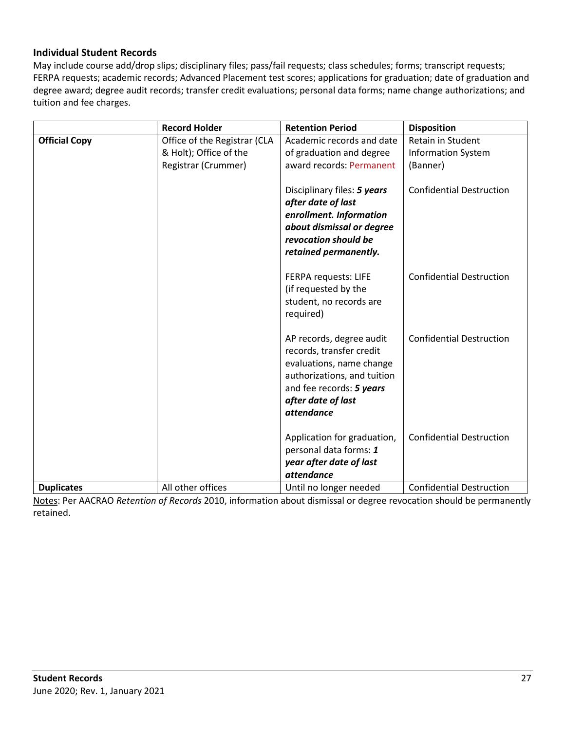## **Individual Student Records**

May include course add/drop slips; disciplinary files; pass/fail requests; class schedules; forms; transcript requests; FERPA requests; academic records; Advanced Placement test scores; applications for graduation; date of graduation and degree award; degree audit records; transfer credit evaluations; personal data forms; name change authorizations; and tuition and fee charges.

|                      | <b>Record Holder</b>         | <b>Retention Period</b>                           | <b>Disposition</b>              |
|----------------------|------------------------------|---------------------------------------------------|---------------------------------|
| <b>Official Copy</b> | Office of the Registrar (CLA | Academic records and date                         | Retain in Student               |
|                      | & Holt); Office of the       | of graduation and degree                          | <b>Information System</b>       |
|                      | Registrar (Crummer)          | award records: Permanent                          | (Banner)                        |
|                      |                              |                                                   |                                 |
|                      |                              | Disciplinary files: 5 years                       | <b>Confidential Destruction</b> |
|                      |                              | after date of last                                |                                 |
|                      |                              | enrollment. Information                           |                                 |
|                      |                              | about dismissal or degree                         |                                 |
|                      |                              | revocation should be                              |                                 |
|                      |                              | retained permanently.                             |                                 |
|                      |                              | FERPA requests: LIFE                              | <b>Confidential Destruction</b> |
|                      |                              | (if requested by the                              |                                 |
|                      |                              | student, no records are                           |                                 |
|                      |                              | required)                                         |                                 |
|                      |                              |                                                   |                                 |
|                      |                              | AP records, degree audit                          | <b>Confidential Destruction</b> |
|                      |                              | records, transfer credit                          |                                 |
|                      |                              | evaluations, name change                          |                                 |
|                      |                              | authorizations, and tuition                       |                                 |
|                      |                              | and fee records: 5 years                          |                                 |
|                      |                              | after date of last                                |                                 |
|                      |                              | attendance                                        |                                 |
|                      |                              |                                                   |                                 |
|                      |                              | Application for graduation,                       | <b>Confidential Destruction</b> |
|                      |                              | personal data forms: 1<br>year after date of last |                                 |
|                      |                              | <i>attendance</i>                                 |                                 |
| <b>Duplicates</b>    | All other offices            | Until no longer needed                            | <b>Confidential Destruction</b> |

Notes: Per AACRAO *Retention of Records* 2010, information about dismissal or degree revocation should be permanently retained.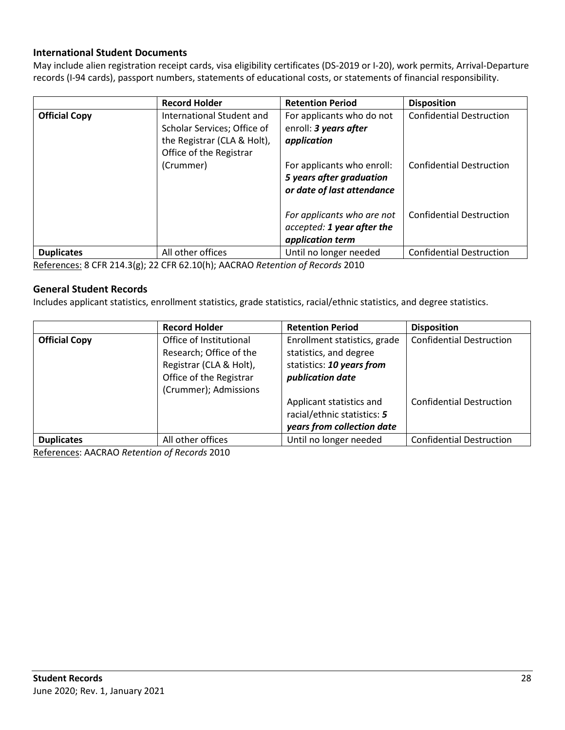## **International Student Documents**

May include alien registration receipt cards, visa eligibility certificates (DS-2019 or I-20), work permits, Arrival-Departure records (I-94 cards), passport numbers, statements of educational costs, or statements of financial responsibility.

|                      | <b>Record Holder</b>                                                                                                            | <b>Retention Period</b>                                                                                                                                   | <b>Disposition</b>                                                 |
|----------------------|---------------------------------------------------------------------------------------------------------------------------------|-----------------------------------------------------------------------------------------------------------------------------------------------------------|--------------------------------------------------------------------|
| <b>Official Copy</b> | International Student and<br>Scholar Services; Office of<br>the Registrar (CLA & Holt),<br>Office of the Registrar<br>(Crummer) | For applicants who do not<br>enroll: 3 years after<br>application<br>For applicants who enroll:<br>5 years after graduation<br>or date of last attendance | <b>Confidential Destruction</b><br><b>Confidential Destruction</b> |
|                      |                                                                                                                                 | For applicants who are not<br>accepted: 1 year after the<br>application term                                                                              | <b>Confidential Destruction</b>                                    |
| <b>Duplicates</b>    | All other offices                                                                                                               | Until no longer needed                                                                                                                                    | <b>Confidential Destruction</b>                                    |

References: 8 CFR 214.3(g); 22 CFR 62.10(h); AACRAO *Retention of Records* 2010

#### **General Student Records**

Includes applicant statistics, enrollment statistics, grade statistics, racial/ethnic statistics, and degree statistics.

|                      | <b>Record Holder</b>    | <b>Retention Period</b>      | <b>Disposition</b>              |
|----------------------|-------------------------|------------------------------|---------------------------------|
| <b>Official Copy</b> | Office of Institutional | Enrollment statistics, grade | <b>Confidential Destruction</b> |
|                      | Research; Office of the | statistics, and degree       |                                 |
|                      | Registrar (CLA & Holt), | statistics: 10 years from    |                                 |
|                      | Office of the Registrar | publication date             |                                 |
|                      | (Crummer); Admissions   |                              |                                 |
|                      |                         | Applicant statistics and     | <b>Confidential Destruction</b> |
|                      |                         | racial/ethnic statistics: 5  |                                 |
|                      |                         | years from collection date   |                                 |
| <b>Duplicates</b>    | All other offices       | Until no longer needed       | <b>Confidential Destruction</b> |

References: AACRAO *Retention of Records* 2010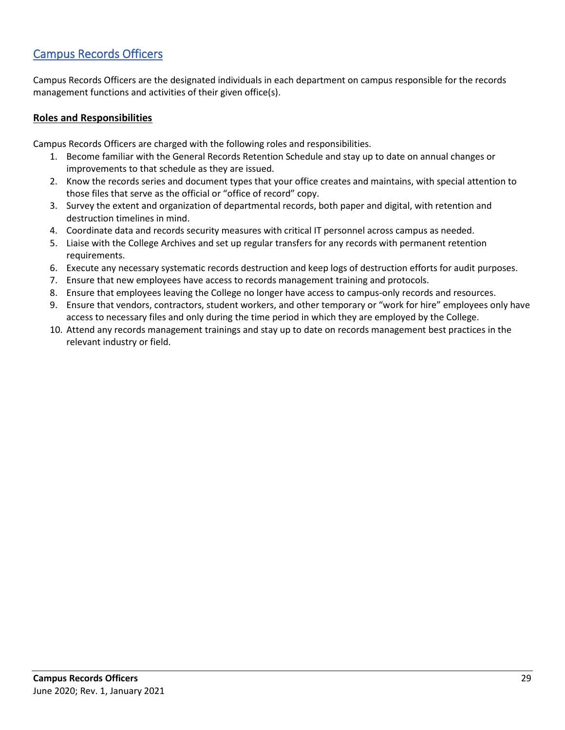# <span id="page-28-0"></span>[Campus Records Officers](#page-0-0)

Campus Records Officers are the designated individuals in each department on campus responsible for the records management functions and activities of their given office(s).

## **Roles and Responsibilities**

Campus Records Officers are charged with the following roles and responsibilities.

- 1. Become familiar with the General Records Retention Schedule and stay up to date on annual changes or improvements to that schedule as they are issued.
- 2. Know the records series and document types that your office creates and maintains, with special attention to those files that serve as the official or "office of record" copy.
- 3. Survey the extent and organization of departmental records, both paper and digital, with retention and destruction timelines in mind.
- 4. Coordinate data and records security measures with critical IT personnel across campus as needed.
- 5. Liaise with the College Archives and set up regular transfers for any records with permanent retention requirements.
- 6. Execute any necessary systematic records destruction and keep logs of destruction efforts for audit purposes.
- 7. Ensure that new employees have access to records management training and protocols.
- 8. Ensure that employees leaving the College no longer have access to campus-only records and resources.
- 9. Ensure that vendors, contractors, student workers, and other temporary or "work for hire" employees only have access to necessary files and only during the time period in which they are employed by the College.
- 10. Attend any records management trainings and stay up to date on records management best practices in the relevant industry or field.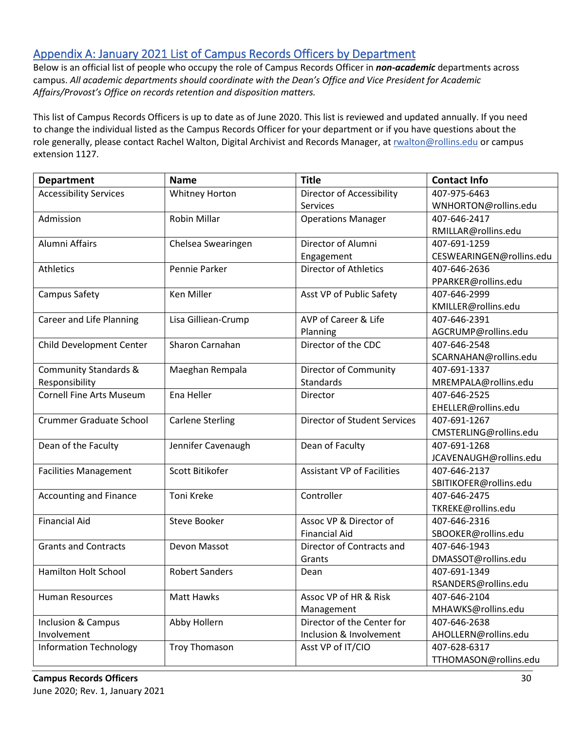# <span id="page-29-0"></span>Appendix A: January 2021 List of Campus Records Officers by Department

Below is an official list of people who occupy the role of Campus Records Officer in *non-academic* departments across campus. *All academic departments should coordinate with the Dean's Office and Vice President for Academic Affairs/Provost's Office on records retention and disposition matters.*

This list of Campus Records Officers is up to date as of June 2020. This list is reviewed and updated annually. If you need to change the individual listed as the Campus Records Officer for your department or if you have questions about the role generally, please contact Rachel Walton, Digital Archivist and Records Manager, a[t rwalton@rollins.edu](mailto:rwalton@rollins.edu) or campus extension 1127.

| <b>Department</b>                | <b>Name</b>             | <b>Title</b>                        | <b>Contact Info</b>      |
|----------------------------------|-------------------------|-------------------------------------|--------------------------|
| <b>Accessibility Services</b>    | <b>Whitney Horton</b>   | Director of Accessibility           | 407-975-6463             |
|                                  |                         | <b>Services</b>                     | WNHORTON@rollins.edu     |
| Admission                        | <b>Robin Millar</b>     | <b>Operations Manager</b>           | 407-646-2417             |
|                                  |                         |                                     | RMILLAR@rollins.edu      |
| Alumni Affairs                   | Chelsea Swearingen      | Director of Alumni                  | 407-691-1259             |
|                                  |                         | Engagement                          | CESWEARINGEN@rollins.edu |
| <b>Athletics</b>                 | Pennie Parker           | <b>Director of Athletics</b>        | 407-646-2636             |
|                                  |                         |                                     | PPARKER@rollins.edu      |
| Campus Safety                    | Ken Miller              | Asst VP of Public Safety            | 407-646-2999             |
|                                  |                         |                                     | KMILLER@rollins.edu      |
| Career and Life Planning         | Lisa Gilliean-Crump     | AVP of Career & Life                | 407-646-2391             |
|                                  |                         | Planning                            | AGCRUMP@rollins.edu      |
| Child Development Center         | Sharon Carnahan         | Director of the CDC                 | 407-646-2548             |
|                                  |                         |                                     | SCARNAHAN@rollins.edu    |
| <b>Community Standards &amp;</b> | Maeghan Rempala         | <b>Director of Community</b>        | 407-691-1337             |
| Responsibility                   |                         | Standards                           | MREMPALA@rollins.edu     |
| <b>Cornell Fine Arts Museum</b>  | Ena Heller              | Director                            | 407-646-2525             |
|                                  |                         |                                     | EHELLER@rollins.edu      |
| <b>Crummer Graduate School</b>   | <b>Carlene Sterling</b> | <b>Director of Student Services</b> | 407-691-1267             |
|                                  |                         |                                     | CMSTERLING@rollins.edu   |
| Dean of the Faculty              | Jennifer Cavenaugh      | Dean of Faculty                     | 407-691-1268             |
|                                  |                         |                                     | JCAVENAUGH@rollins.edu   |
| <b>Facilities Management</b>     | Scott Bitikofer         | <b>Assistant VP of Facilities</b>   | 407-646-2137             |
|                                  |                         |                                     | SBITIKOFER@rollins.edu   |
| <b>Accounting and Finance</b>    | Toni Kreke              | Controller                          | 407-646-2475             |
|                                  |                         |                                     | TKREKE@rollins.edu       |
| <b>Financial Aid</b>             | Steve Booker            | Assoc VP & Director of              | 407-646-2316             |
|                                  |                         | <b>Financial Aid</b>                | SBOOKER@rollins.edu      |
| <b>Grants and Contracts</b>      | Devon Massot            | Director of Contracts and           | 407-646-1943             |
|                                  |                         | Grants                              | DMASSOT@rollins.edu      |
| <b>Hamilton Holt School</b>      | <b>Robert Sanders</b>   | Dean                                | 407-691-1349             |
|                                  |                         |                                     | RSANDERS@rollins.edu     |
| Human Resources                  | Matt Hawks              | Assoc VP of HR & Risk               | 407-646-2104             |
|                                  |                         | Management                          | MHAWKS@rollins.edu       |
| Inclusion & Campus               | Abby Hollern            | Director of the Center for          | 407-646-2638             |
| Involvement                      |                         | Inclusion & Involvement             | AHOLLERN@rollins.edu     |
| <b>Information Technology</b>    | Troy Thomason           | Asst VP of IT/CIO                   | 407-628-6317             |
|                                  |                         |                                     | TTHOMASON@rollins.edu    |